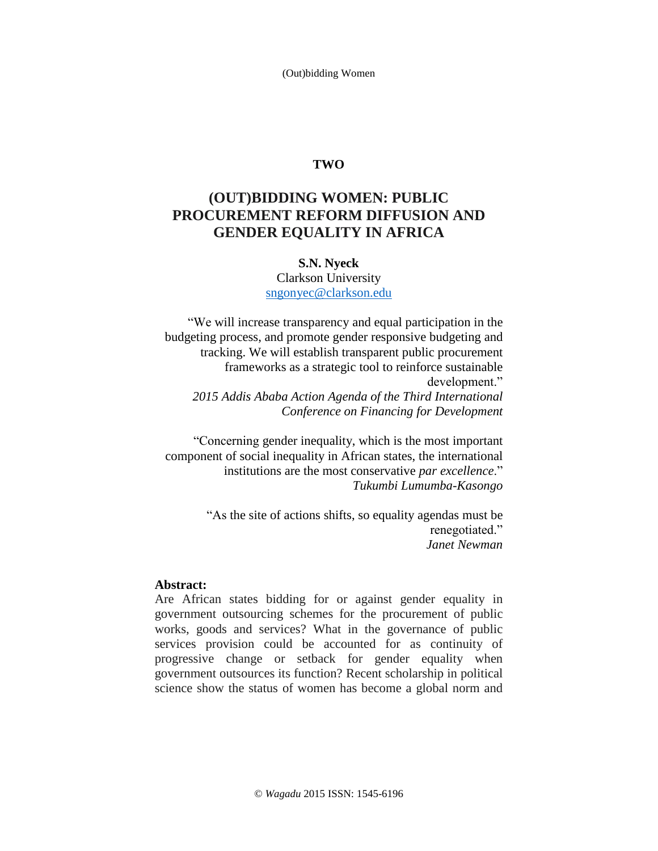(Out)bidding Women

## **TWO**

# **(OUT)BIDDING WOMEN: PUBLIC PROCUREMENT REFORM DIFFUSION AND GENDER EQUALITY IN AFRICA**

#### **S.N. Nyeck**

Clarkson University sngonyec@clarkson.edu

"We will increase transparency and equal participation in the budgeting process, and promote gender responsive budgeting and tracking. We will establish transparent public procurement frameworks as a strategic tool to reinforce sustainable development." *2015 Addis Ababa Action Agenda of the Third International Conference on Financing for Development*

"Concerning gender inequality, which is the most important component of social inequality in African states, the international institutions are the most conservative *par excellence*." *Tukumbi Lumumba-Kasongo*

> "As the site of actions shifts, so equality agendas must be renegotiated." *Janet Newman*

#### **Abstract:**

Are African states bidding for or against gender equality in government outsourcing schemes for the procurement of public works, goods and services? What in the governance of public services provision could be accounted for as continuity of progressive change or setback for gender equality when government outsources its function? Recent scholarship in political science show the status of women has become a global norm and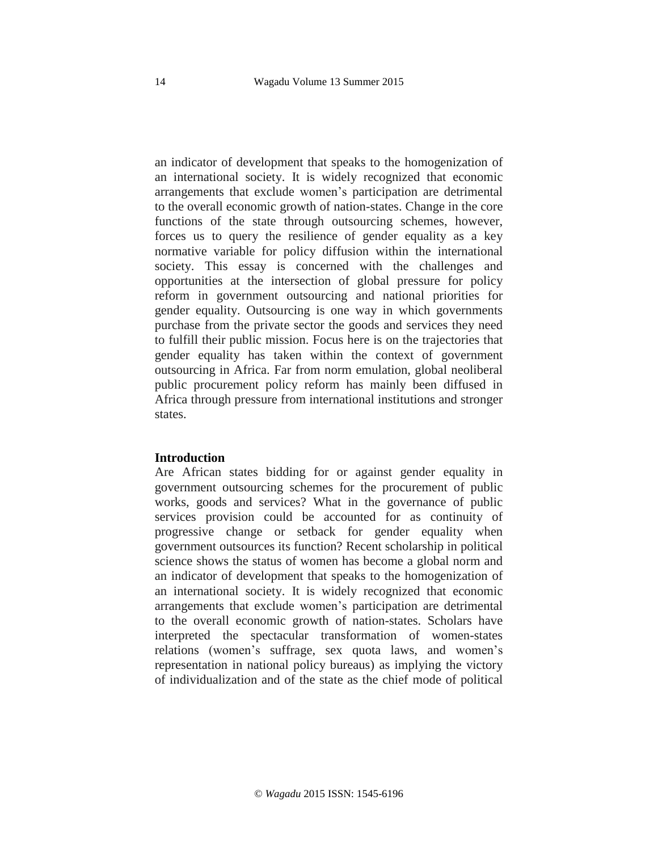an indicator of development that speaks to the homogenization of an international society. It is widely recognized that economic arrangements that exclude women's participation are detrimental to the overall economic growth of nation-states. Change in the core functions of the state through outsourcing schemes, however, forces us to query the resilience of gender equality as a key normative variable for policy diffusion within the international society. This essay is concerned with the challenges and opportunities at the intersection of global pressure for policy reform in government outsourcing and national priorities for gender equality. Outsourcing is one way in which governments purchase from the private sector the goods and services they need to fulfill their public mission. Focus here is on the trajectories that gender equality has taken within the context of government outsourcing in Africa. Far from norm emulation, global neoliberal public procurement policy reform has mainly been diffused in Africa through pressure from international institutions and stronger states.

#### **Introduction**

Are African states bidding for or against gender equality in government outsourcing schemes for the procurement of public works, goods and services? What in the governance of public services provision could be accounted for as continuity of progressive change or setback for gender equality when government outsources its function? Recent scholarship in political science shows the status of women has become a global norm and an indicator of development that speaks to the homogenization of an international society. It is widely recognized that economic arrangements that exclude women's participation are detrimental to the overall economic growth of nation-states. Scholars have interpreted the spectacular transformation of women-states relations (women's suffrage, sex quota laws, and women's representation in national policy bureaus) as implying the victory of individualization and of the state as the chief mode of political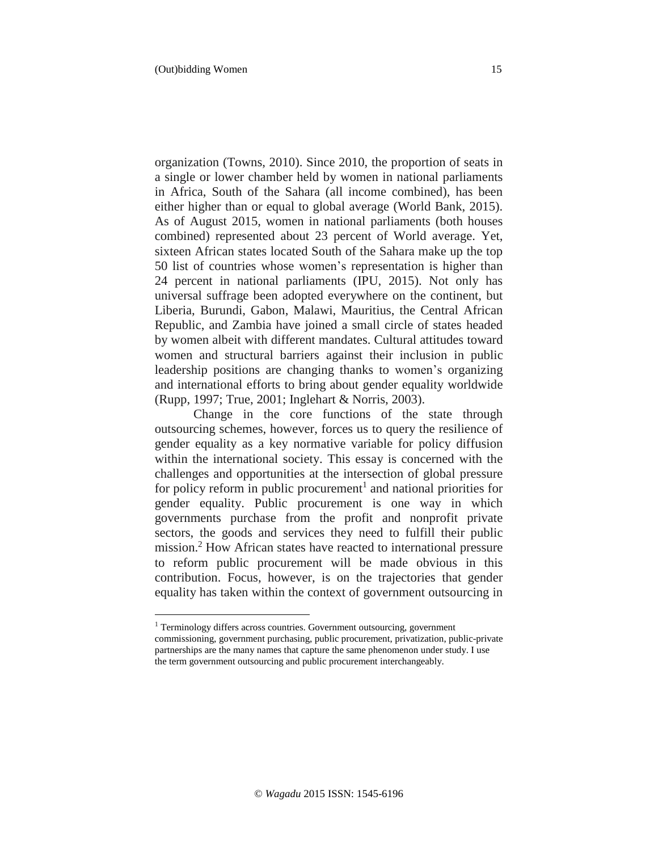$\overline{a}$ 

organization (Towns, 2010). Since 2010, the proportion of seats in a single or lower chamber held by women in national parliaments in Africa, South of the Sahara (all income combined), has been either higher than or equal to global average (World Bank, 2015). As of August 2015, women in national parliaments (both houses combined) represented about 23 percent of World average. Yet, sixteen African states located South of the Sahara make up the top 50 list of countries whose women's representation is higher than 24 percent in national parliaments (IPU, 2015). Not only has universal suffrage been adopted everywhere on the continent, but Liberia, Burundi, Gabon, Malawi, Mauritius, the Central African Republic, and Zambia have joined a small circle of states headed by women albeit with different mandates. Cultural attitudes toward women and structural barriers against their inclusion in public leadership positions are changing thanks to women's organizing and international efforts to bring about gender equality worldwide (Rupp, 1997; True, 2001; Inglehart & Norris, 2003).

Change in the core functions of the state through outsourcing schemes, however, forces us to query the resilience of gender equality as a key normative variable for policy diffusion within the international society. This essay is concerned with the challenges and opportunities at the intersection of global pressure for policy reform in public procurement<sup>1</sup> and national priorities for gender equality. Public procurement is one way in which governments purchase from the profit and nonprofit private sectors, the goods and services they need to fulfill their public mission.<sup>2</sup> How African states have reacted to international pressure to reform public procurement will be made obvious in this contribution. Focus, however, is on the trajectories that gender equality has taken within the context of government outsourcing in

<sup>&</sup>lt;sup>1</sup> Terminology differs across countries. Government outsourcing, government commissioning, government purchasing, public procurement, privatization, public-private partnerships are the many names that capture the same phenomenon under study. I use the term government outsourcing and public procurement interchangeably.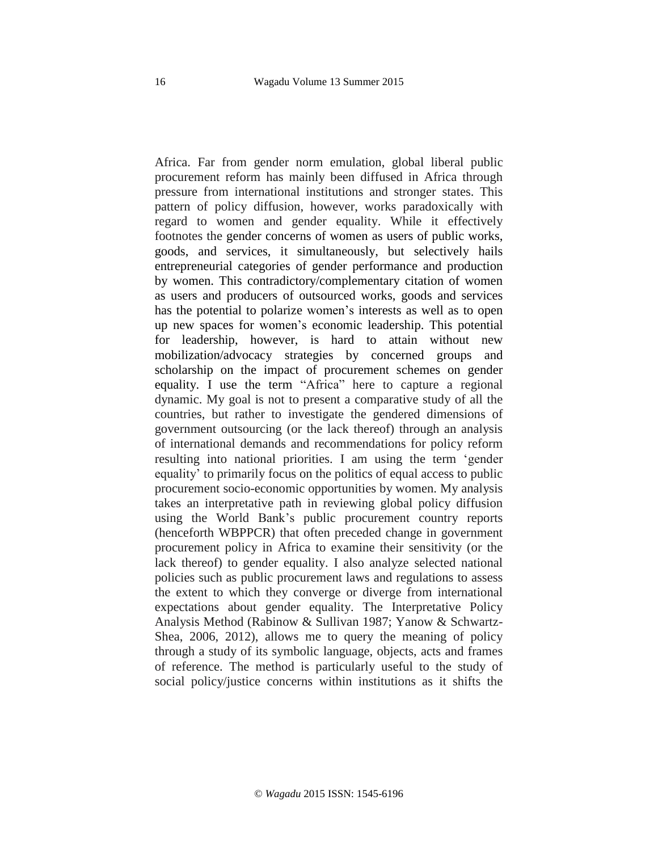Africa. Far from gender norm emulation, global liberal public procurement reform has mainly been diffused in Africa through pressure from international institutions and stronger states. This pattern of policy diffusion, however, works paradoxically with regard to women and gender equality. While it effectively footnotes the gender concerns of women as users of public works, goods, and services, it simultaneously, but selectively hails entrepreneurial categories of gender performance and production by women. This contradictory/complementary citation of women as users and producers of outsourced works, goods and services has the potential to polarize women's interests as well as to open up new spaces for women's economic leadership. This potential for leadership, however, is hard to attain without new mobilization/advocacy strategies by concerned groups and scholarship on the impact of procurement schemes on gender equality. I use the term "Africa" here to capture a regional dynamic. My goal is not to present a comparative study of all the countries, but rather to investigate the gendered dimensions of government outsourcing (or the lack thereof) through an analysis of international demands and recommendations for policy reform resulting into national priorities. I am using the term 'gender equality' to primarily focus on the politics of equal access to public procurement socio-economic opportunities by women. My analysis takes an interpretative path in reviewing global policy diffusion using the World Bank's public procurement country reports (henceforth WBPPCR) that often preceded change in government procurement policy in Africa to examine their sensitivity (or the lack thereof) to gender equality. I also analyze selected national policies such as public procurement laws and regulations to assess the extent to which they converge or diverge from international expectations about gender equality. The Interpretative Policy Analysis Method (Rabinow & Sullivan 1987; Yanow & Schwartz-Shea, 2006, 2012), allows me to query the meaning of policy through a study of its symbolic language, objects, acts and frames of reference. The method is particularly useful to the study of social policy/justice concerns within institutions as it shifts the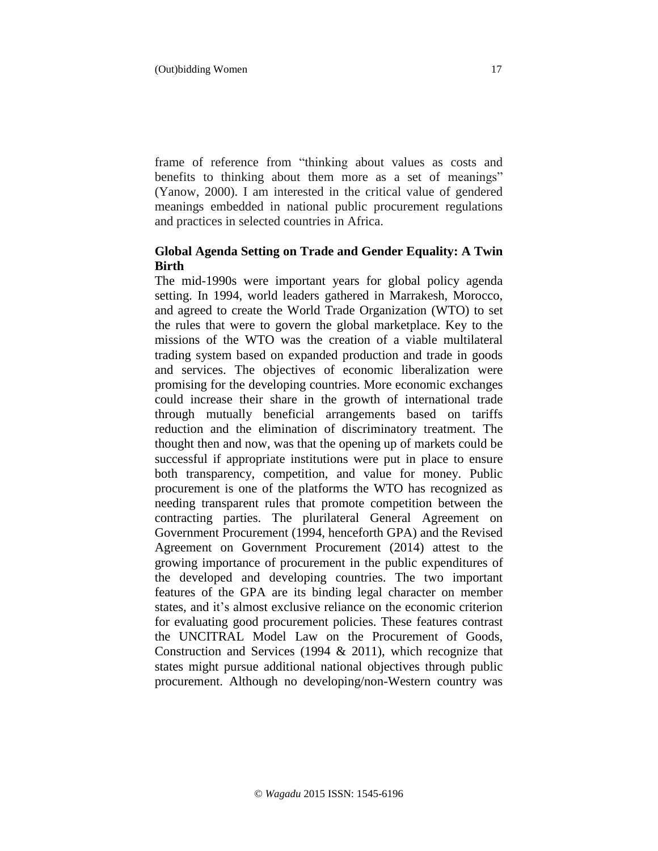frame of reference from "thinking about values as costs and benefits to thinking about them more as a set of meanings" (Yanow, 2000). I am interested in the critical value of gendered meanings embedded in national public procurement regulations and practices in selected countries in Africa.

# **Global Agenda Setting on Trade and Gender Equality: A Twin Birth**

The mid-1990s were important years for global policy agenda setting. In 1994, world leaders gathered in Marrakesh, Morocco, and agreed to create the World Trade Organization (WTO) to set the rules that were to govern the global marketplace. Key to the missions of the WTO was the creation of a viable multilateral trading system based on expanded production and trade in goods and services. The objectives of economic liberalization were promising for the developing countries. More economic exchanges could increase their share in the growth of international trade through mutually beneficial arrangements based on tariffs reduction and the elimination of discriminatory treatment. The thought then and now, was that the opening up of markets could be successful if appropriate institutions were put in place to ensure both transparency, competition, and value for money. Public procurement is one of the platforms the WTO has recognized as needing transparent rules that promote competition between the contracting parties. The plurilateral General Agreement on Government Procurement (1994, henceforth GPA) and the Revised Agreement on Government Procurement (2014) attest to the growing importance of procurement in the public expenditures of the developed and developing countries. The two important features of the GPA are its binding legal character on member states, and it's almost exclusive reliance on the economic criterion for evaluating good procurement policies. These features contrast the UNCITRAL Model Law on the Procurement of Goods, Construction and Services (1994 & 2011), which recognize that states might pursue additional national objectives through public procurement. Although no developing/non-Western country was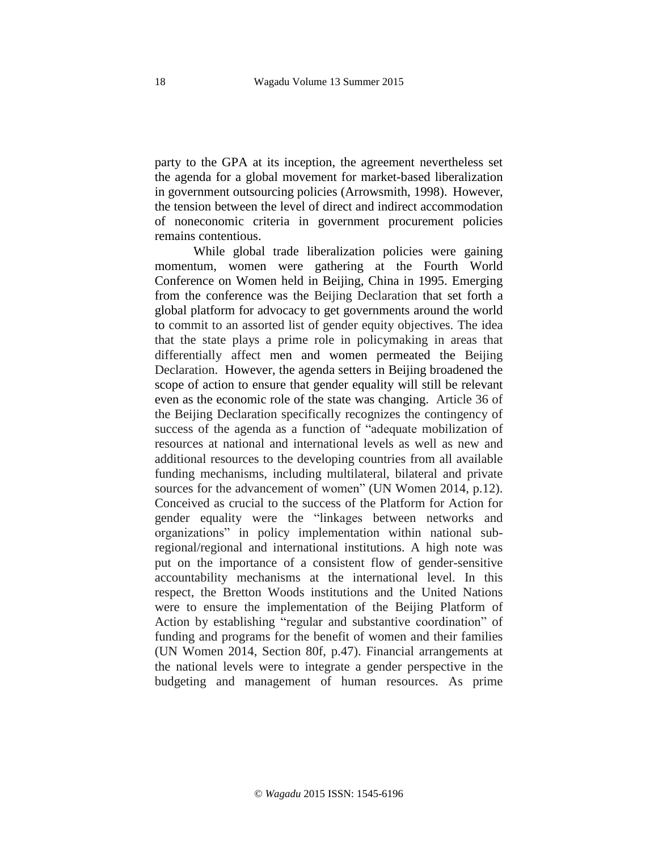party to the GPA at its inception, the agreement nevertheless set the agenda for a global movement for market-based liberalization in government outsourcing policies (Arrowsmith, 1998). However, the tension between the level of direct and indirect accommodation of noneconomic criteria in government procurement policies remains contentious.

While global trade liberalization policies were gaining momentum, women were gathering at the Fourth World Conference on Women held in Beijing, China in 1995. Emerging from the conference was the Beijing Declaration that set forth a global platform for advocacy to get governments around the world to commit to an assorted list of gender equity objectives. The idea that the state plays a prime role in policymaking in areas that differentially affect men and women permeated the Beijing Declaration. However, the agenda setters in Beijing broadened the scope of action to ensure that gender equality will still be relevant even as the economic role of the state was changing. Article 36 of the Beijing Declaration specifically recognizes the contingency of success of the agenda as a function of "adequate mobilization of resources at national and international levels as well as new and additional resources to the developing countries from all available funding mechanisms, including multilateral, bilateral and private sources for the advancement of women" (UN Women 2014, p.12). Conceived as crucial to the success of the Platform for Action for gender equality were the "linkages between networks and organizations" in policy implementation within national subregional/regional and international institutions. A high note was put on the importance of a consistent flow of gender-sensitive accountability mechanisms at the international level. In this respect, the Bretton Woods institutions and the United Nations were to ensure the implementation of the Beijing Platform of Action by establishing "regular and substantive coordination" of funding and programs for the benefit of women and their families (UN Women 2014, Section 80f, p.47). Financial arrangements at the national levels were to integrate a gender perspective in the budgeting and management of human resources. As prime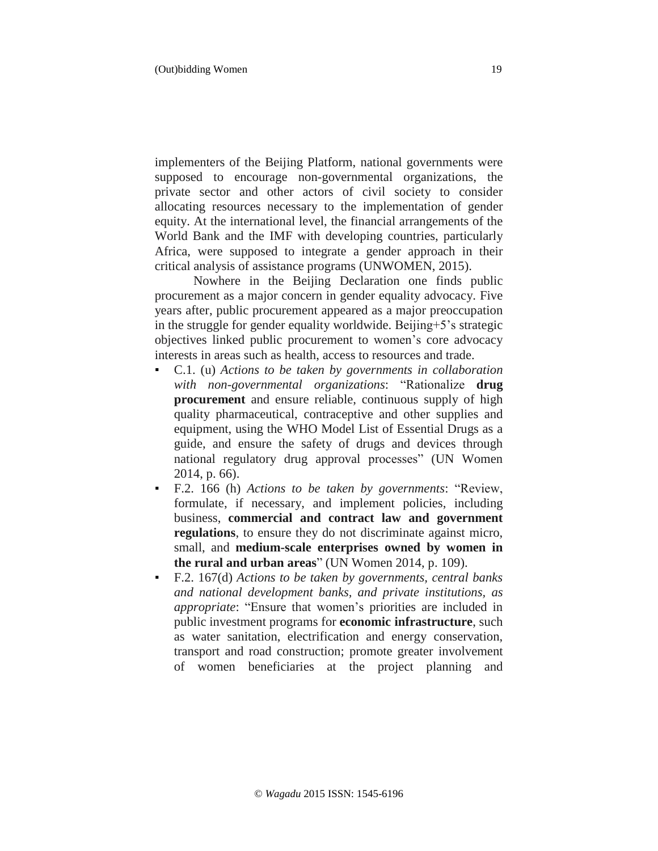implementers of the Beijing Platform, national governments were supposed to encourage non-governmental organizations, the private sector and other actors of civil society to consider allocating resources necessary to the implementation of gender equity. At the international level, the financial arrangements of the World Bank and the IMF with developing countries, particularly Africa, were supposed to integrate a gender approach in their critical analysis of assistance programs (UNWOMEN, 2015).

Nowhere in the Beijing Declaration one finds public procurement as a major concern in gender equality advocacy. Five years after, public procurement appeared as a major preoccupation in the struggle for gender equality worldwide. Beijing+5's strategic objectives linked public procurement to women's core advocacy interests in areas such as health, access to resources and trade.

- C.1. (u) *Actions to be taken by governments in collaboration with non-governmental organizations*: "Rationalize **drug procurement** and ensure reliable, continuous supply of high quality pharmaceutical, contraceptive and other supplies and equipment, using the WHO Model List of Essential Drugs as a guide, and ensure the safety of drugs and devices through national regulatory drug approval processes" (UN Women 2014, p. 66).
- F.2. 166 (h) *Actions to be taken by governments*: "Review, formulate, if necessary, and implement policies, including business, **commercial and contract law and government regulations**, to ensure they do not discriminate against micro, small, and **medium-scale enterprises owned by women in the rural and urban areas**" (UN Women 2014, p. 109).
- F.2. 167(d) *Actions to be taken by governments, central banks and national development banks, and private institutions, as appropriate*: "Ensure that women's priorities are included in public investment programs for **economic infrastructure**, such as water sanitation, electrification and energy conservation, transport and road construction; promote greater involvement of women beneficiaries at the project planning and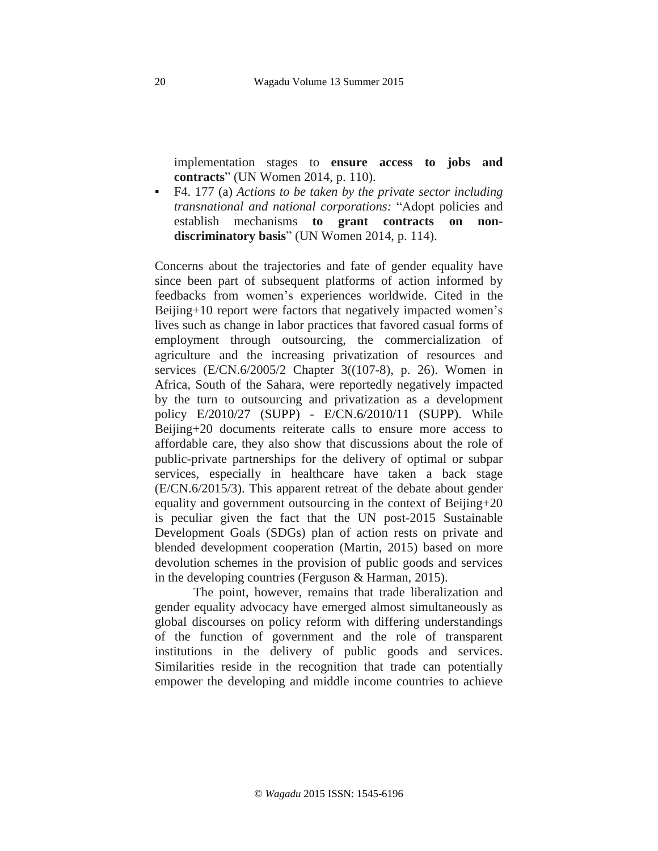implementation stages to **ensure access to jobs and contracts**" (UN Women 2014, p. 110).

▪ F4. 177 (a) *Actions to be taken by the private sector including transnational and national corporations:* "Adopt policies and establish mechanisms **to grant contracts on nondiscriminatory basis**" (UN Women 2014, p. 114).

Concerns about the trajectories and fate of gender equality have since been part of subsequent platforms of action informed by feedbacks from women's experiences worldwide. Cited in the Beijing+10 report were factors that negatively impacted women's lives such as change in labor practices that favored casual forms of employment through outsourcing, the commercialization of agriculture and the increasing privatization of resources and services (E/CN.6/2005/2 Chapter 3((107-8), p. 26). Women in Africa, South of the Sahara, were reportedly negatively impacted by the turn to outsourcing and privatization as a development policy E/2010/27 (SUPP) - E/CN.6/2010/11 (SUPP). While Beijing+20 documents reiterate calls to ensure more access to affordable care, they also show that discussions about the role of public-private partnerships for the delivery of optimal or subpar services, especially in healthcare have taken a back stage (E/CN.6/2015/3). This apparent retreat of the debate about gender equality and government outsourcing in the context of Beijing+20 is peculiar given the fact that the UN post-2015 Sustainable Development Goals (SDGs) plan of action rests on private and blended development cooperation (Martin, 2015) based on more devolution schemes in the provision of public goods and services in the developing countries (Ferguson & Harman, 2015).

The point, however, remains that trade liberalization and gender equality advocacy have emerged almost simultaneously as global discourses on policy reform with differing understandings of the function of government and the role of transparent institutions in the delivery of public goods and services. Similarities reside in the recognition that trade can potentially empower the developing and middle income countries to achieve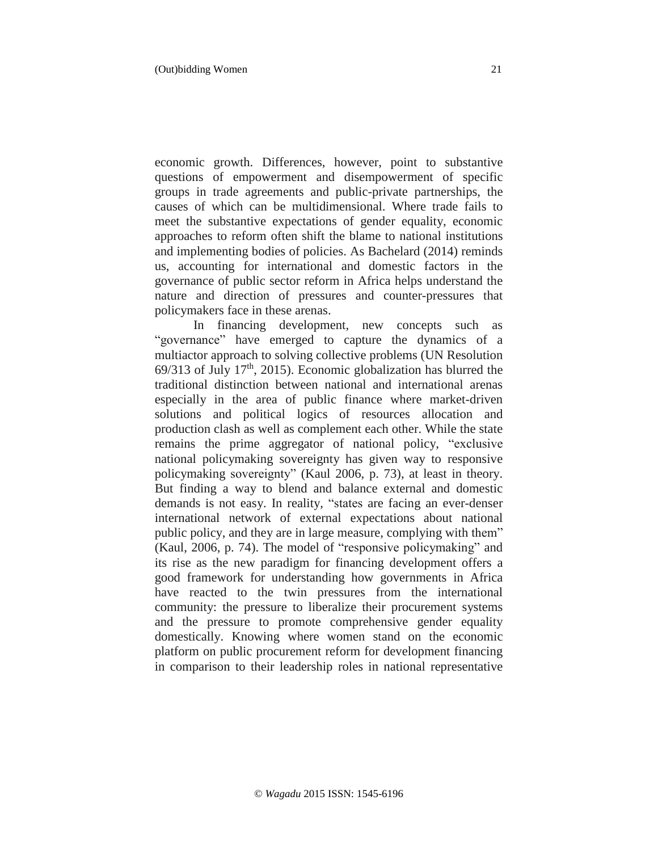economic growth. Differences, however, point to substantive questions of empowerment and disempowerment of specific groups in trade agreements and public-private partnerships, the causes of which can be multidimensional. Where trade fails to meet the substantive expectations of gender equality, economic approaches to reform often shift the blame to national institutions and implementing bodies of policies. As Bachelard (2014) reminds us, accounting for international and domestic factors in the governance of public sector reform in Africa helps understand the nature and direction of pressures and counter-pressures that policymakers face in these arenas.

In financing development, new concepts such as "governance" have emerged to capture the dynamics of a multiactor approach to solving collective problems (UN Resolution  $69/313$  of July  $17<sup>th</sup>$ , 2015). Economic globalization has blurred the traditional distinction between national and international arenas especially in the area of public finance where market-driven solutions and political logics of resources allocation and production clash as well as complement each other. While the state remains the prime aggregator of national policy, "exclusive national policymaking sovereignty has given way to responsive policymaking sovereignty" (Kaul 2006, p. 73), at least in theory. But finding a way to blend and balance external and domestic demands is not easy. In reality, "states are facing an ever-denser international network of external expectations about national public policy, and they are in large measure, complying with them" (Kaul, 2006, p. 74). The model of "responsive policymaking" and its rise as the new paradigm for financing development offers a good framework for understanding how governments in Africa have reacted to the twin pressures from the international community: the pressure to liberalize their procurement systems and the pressure to promote comprehensive gender equality domestically. Knowing where women stand on the economic platform on public procurement reform for development financing in comparison to their leadership roles in national representative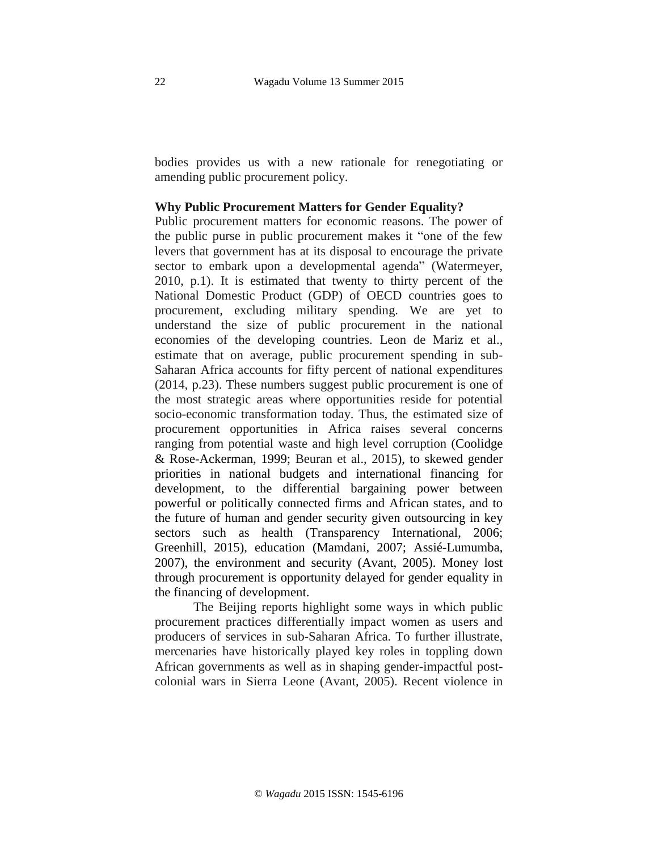bodies provides us with a new rationale for renegotiating or amending public procurement policy.

#### **Why Public Procurement Matters for Gender Equality?**

Public procurement matters for economic reasons. The power of the public purse in public procurement makes it "one of the few levers that government has at its disposal to encourage the private sector to embark upon a developmental agenda" (Watermeyer, 2010, p.1). It is estimated that twenty to thirty percent of the National Domestic Product (GDP) of OECD countries goes to procurement, excluding military spending. We are yet to understand the size of public procurement in the national economies of the developing countries. Leon de Mariz et al., estimate that on average, public procurement spending in sub-Saharan Africa accounts for fifty percent of national expenditures (2014, p.23). These numbers suggest public procurement is one of the most strategic areas where opportunities reside for potential socio-economic transformation today. Thus, the estimated size of procurement opportunities in Africa raises several concerns ranging from potential waste and high level corruption (Coolidge & Rose-Ackerman, 1999; Beuran et al., 2015), to skewed gender priorities in national budgets and international financing for development, to the differential bargaining power between powerful or politically connected firms and African states, and to the future of human and gender security given outsourcing in key sectors such as health (Transparency International, 2006; Greenhill, 2015), education (Mamdani, 2007; Assié-Lumumba, 2007), the environment and security (Avant, 2005). Money lost through procurement is opportunity delayed for gender equality in the financing of development.

The Beijing reports highlight some ways in which public procurement practices differentially impact women as users and producers of services in sub-Saharan Africa. To further illustrate, mercenaries have historically played key roles in toppling down African governments as well as in shaping gender-impactful postcolonial wars in Sierra Leone (Avant, 2005). Recent violence in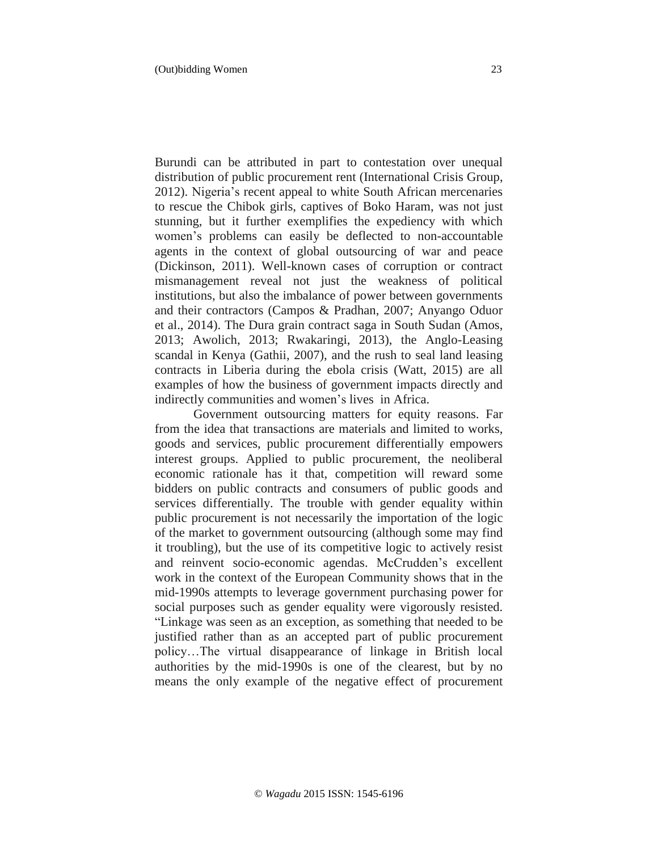Burundi can be attributed in part to contestation over unequal distribution of public procurement rent (International Crisis Group, 2012). Nigeria's recent appeal to white South African mercenaries to rescue the Chibok girls, captives of Boko Haram, was not just stunning, but it further exemplifies the expediency with which women's problems can easily be deflected to non-accountable agents in the context of global outsourcing of war and peace (Dickinson, 2011). Well-known cases of corruption or contract mismanagement reveal not just the weakness of political institutions, but also the imbalance of power between governments and their contractors (Campos & Pradhan, 2007; Anyango Oduor et al., 2014). The Dura grain contract saga in South Sudan (Amos, 2013; Awolich, 2013; Rwakaringi, 2013), the Anglo-Leasing scandal in Kenya (Gathii, 2007), and the rush to seal land leasing contracts in Liberia during the ebola crisis (Watt, 2015) are all examples of how the business of government impacts directly and indirectly communities and women's lives in Africa.

Government outsourcing matters for equity reasons. Far from the idea that transactions are materials and limited to works, goods and services, public procurement differentially empowers interest groups. Applied to public procurement, the neoliberal economic rationale has it that, competition will reward some bidders on public contracts and consumers of public goods and services differentially. The trouble with gender equality within public procurement is not necessarily the importation of the logic of the market to government outsourcing (although some may find it troubling), but the use of its competitive logic to actively resist and reinvent socio-economic agendas. McCrudden's excellent work in the context of the European Community shows that in the mid-1990s attempts to leverage government purchasing power for social purposes such as gender equality were vigorously resisted. "Linkage was seen as an exception, as something that needed to be justified rather than as an accepted part of public procurement policy…The virtual disappearance of linkage in British local authorities by the mid-1990s is one of the clearest, but by no means the only example of the negative effect of procurement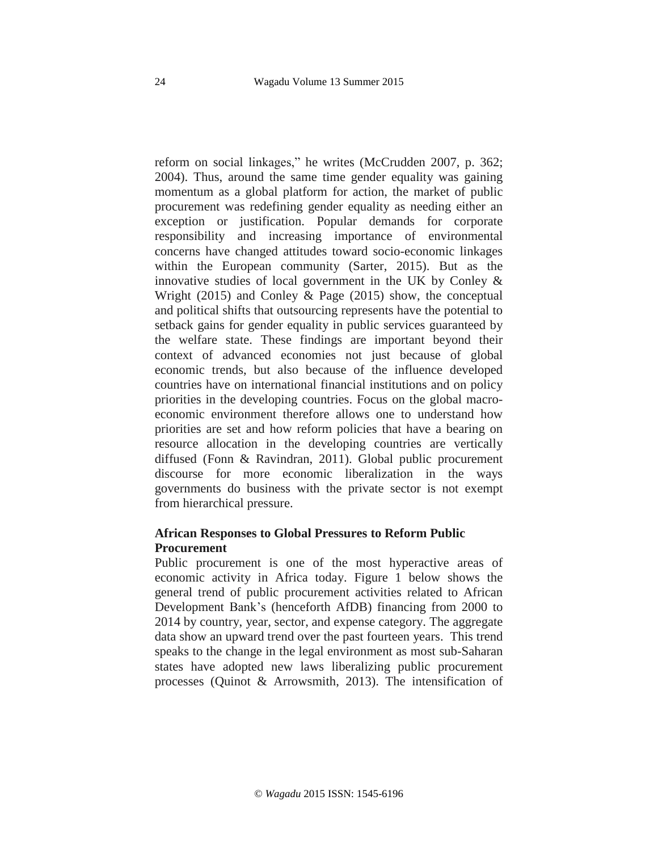reform on social linkages," he writes (McCrudden 2007, p. 362; 2004). Thus, around the same time gender equality was gaining momentum as a global platform for action, the market of public procurement was redefining gender equality as needing either an exception or justification. Popular demands for corporate responsibility and increasing importance of environmental concerns have changed attitudes toward socio-economic linkages within the European community (Sarter, 2015). But as the innovative studies of local government in the UK by Conley & Wright (2015) and Conley & Page (2015) show, the conceptual and political shifts that outsourcing represents have the potential to setback gains for gender equality in public services guaranteed by the welfare state. These findings are important beyond their context of advanced economies not just because of global economic trends, but also because of the influence developed countries have on international financial institutions and on policy priorities in the developing countries. Focus on the global macroeconomic environment therefore allows one to understand how priorities are set and how reform policies that have a bearing on resource allocation in the developing countries are vertically diffused (Fonn & Ravindran, 2011). Global public procurement discourse for more economic liberalization in the ways governments do business with the private sector is not exempt from hierarchical pressure.

### **African Responses to Global Pressures to Reform Public Procurement**

Public procurement is one of the most hyperactive areas of economic activity in Africa today. Figure 1 below shows the general trend of public procurement activities related to African Development Bank's (henceforth AfDB) financing from 2000 to 2014 by country, year, sector, and expense category. The aggregate data show an upward trend over the past fourteen years. This trend speaks to the change in the legal environment as most sub-Saharan states have adopted new laws liberalizing public procurement processes (Quinot & Arrowsmith, 2013). The intensification of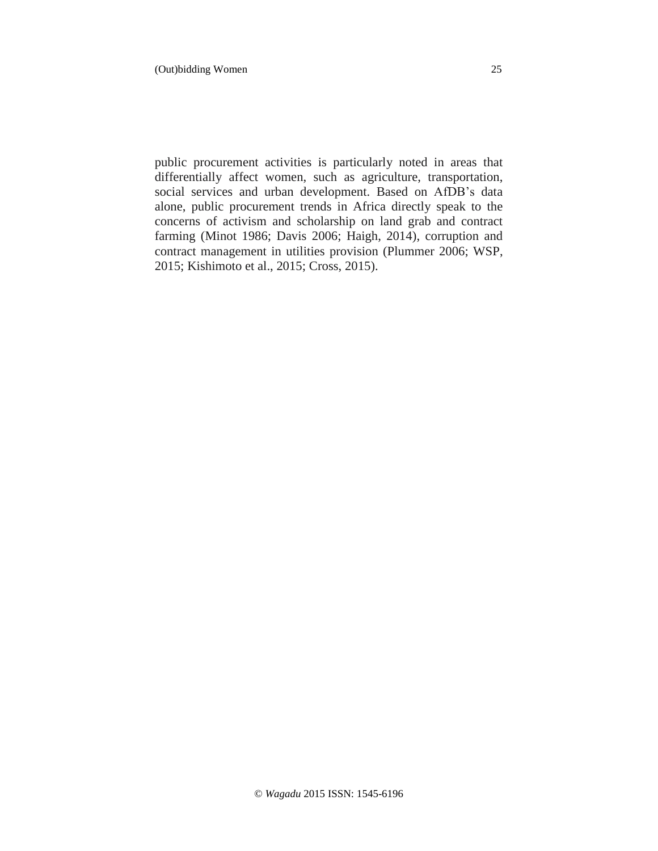(Out)bidding Women 25

public procurement activities is particularly noted in areas that differentially affect women, such as agriculture, transportation, social services and urban development. Based on AfDB's data alone, public procurement trends in Africa directly speak to the concerns of activism and scholarship on land grab and contract farming (Minot 1986; Davis 2006; Haigh, 2014), corruption and contract management in utilities provision (Plummer 2006; WSP, 2015; Kishimoto et al., 2015; Cross, 2015).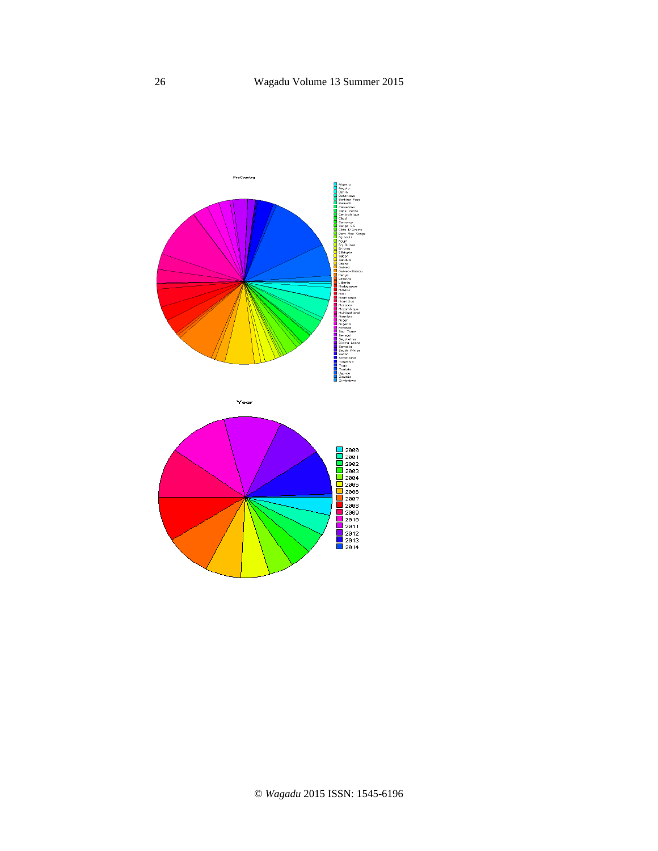

Year

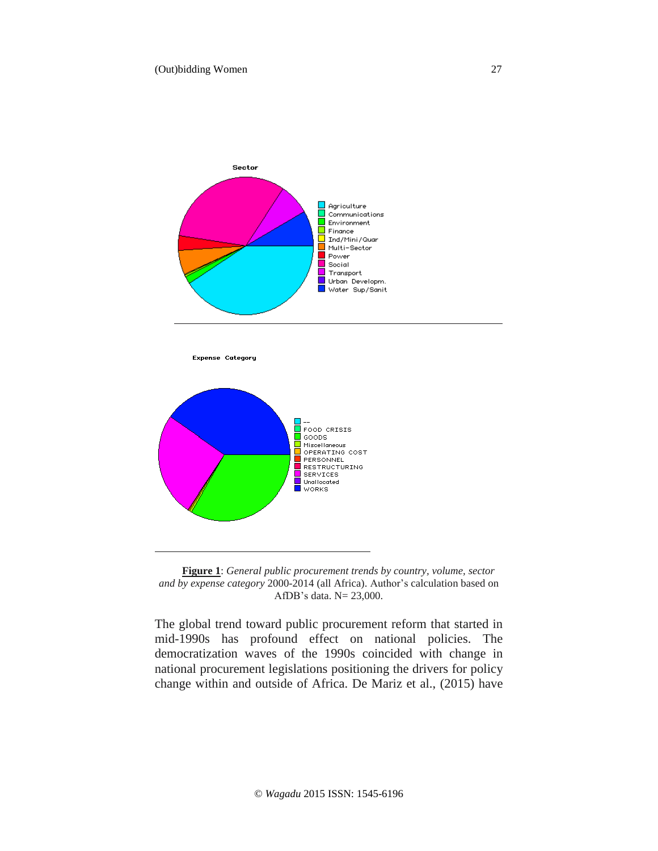

Expense Category





The global trend toward public procurement reform that started in mid-1990s has profound effect on national policies. The democratization waves of the 1990s coincided with change in national procurement legislations positioning the drivers for policy change within and outside of Africa. De Mariz et al., (2015) have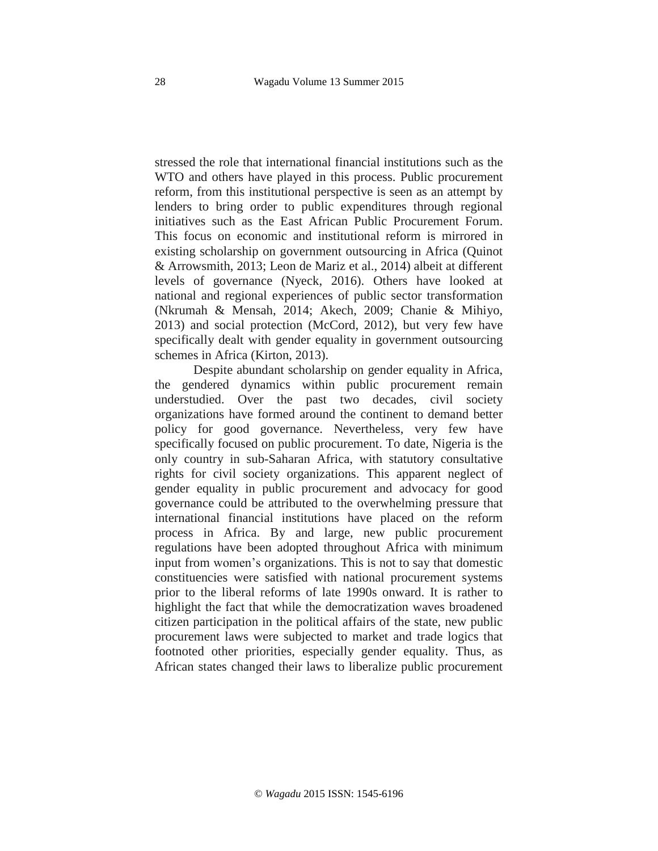stressed the role that international financial institutions such as the WTO and others have played in this process. Public procurement reform, from this institutional perspective is seen as an attempt by lenders to bring order to public expenditures through regional initiatives such as the East African Public Procurement Forum. This focus on economic and institutional reform is mirrored in existing scholarship on government outsourcing in Africa (Quinot & Arrowsmith, 2013; Leon de Mariz et al., 2014) albeit at different levels of governance (Nyeck, 2016). Others have looked at national and regional experiences of public sector transformation (Nkrumah & Mensah, 2014; Akech, 2009; Chanie & Mihiyo, 2013) and social protection (McCord, 2012), but very few have specifically dealt with gender equality in government outsourcing schemes in Africa (Kirton, 2013).

Despite abundant scholarship on gender equality in Africa, the gendered dynamics within public procurement remain understudied. Over the past two decades, civil society organizations have formed around the continent to demand better policy for good governance. Nevertheless, very few have specifically focused on public procurement. To date, Nigeria is the only country in sub-Saharan Africa, with statutory consultative rights for civil society organizations. This apparent neglect of gender equality in public procurement and advocacy for good governance could be attributed to the overwhelming pressure that international financial institutions have placed on the reform process in Africa. By and large, new public procurement regulations have been adopted throughout Africa with minimum input from women's organizations. This is not to say that domestic constituencies were satisfied with national procurement systems prior to the liberal reforms of late 1990s onward. It is rather to highlight the fact that while the democratization waves broadened citizen participation in the political affairs of the state, new public procurement laws were subjected to market and trade logics that footnoted other priorities, especially gender equality. Thus, as African states changed their laws to liberalize public procurement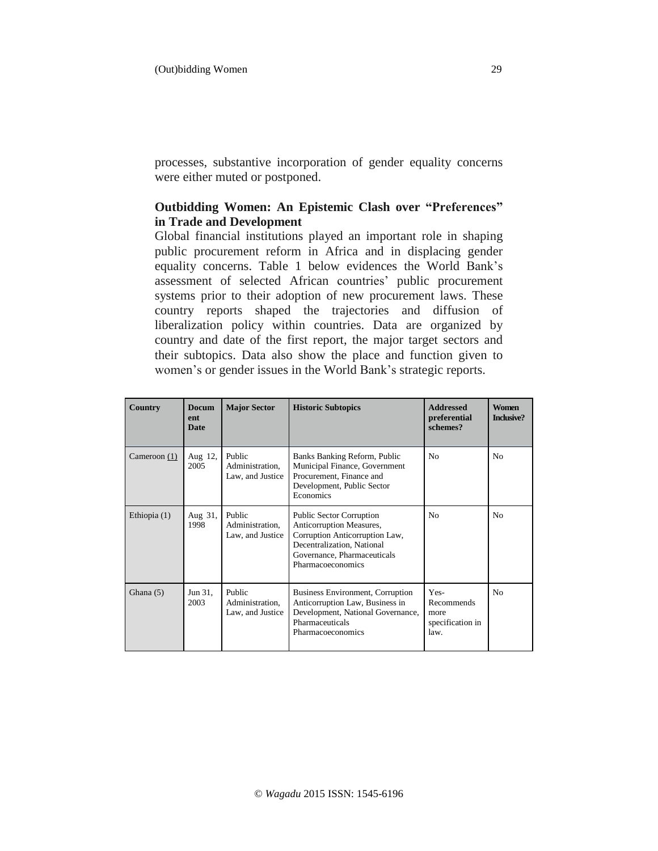processes, substantive incorporation of gender equality concerns were either muted or postponed.

## **Outbidding Women: An Epistemic Clash over "Preferences" in Trade and Development**

Global financial institutions played an important role in shaping public procurement reform in Africa and in displacing gender equality concerns. Table 1 below evidences the World Bank's assessment of selected African countries' public procurement systems prior to their adoption of new procurement laws. These country reports shaped the trajectories and diffusion of liberalization policy within countries. Data are organized by country and date of the first report, the major target sectors and their subtopics. Data also show the place and function given to women's or gender issues in the World Bank's strategic reports.

| Country        | <b>Docum</b><br>ent<br>Date | <b>Major Sector</b>                           | <b>Historic Subtopics</b>                                                                                                                                                       | <b>Addressed</b><br>preferential<br>schemes?           | <b>Women</b><br>Inclusive? |
|----------------|-----------------------------|-----------------------------------------------|---------------------------------------------------------------------------------------------------------------------------------------------------------------------------------|--------------------------------------------------------|----------------------------|
| Cameroon $(1)$ | Aug 12,<br>2005             | Public<br>Administration,<br>Law, and Justice | Banks Banking Reform, Public<br>Municipal Finance, Government<br>Procurement, Finance and<br>Development, Public Sector<br>Economics                                            | N <sub>0</sub>                                         | N <sub>0</sub>             |
| Ethiopia (1)   | Aug 31,<br>1998             | Public<br>Administration.<br>Law, and Justice | <b>Public Sector Corruption</b><br>Anticorruption Measures,<br>Corruption Anticorruption Law,<br>Decentralization, National<br>Governance, Pharmaceuticals<br>Pharmacoeconomics | N <sub>0</sub>                                         | N <sub>0</sub>             |
| Ghana $(5)$    | Jun 31,<br>2003             | Public<br>Administration,<br>Law, and Justice | Business Environment, Corruption<br>Anticorruption Law, Business in<br>Development, National Governance,<br>Pharmaceuticals<br>Pharmacoeconomics                                | Yes-<br>Recommends<br>more<br>specification in<br>law. | N <sub>0</sub>             |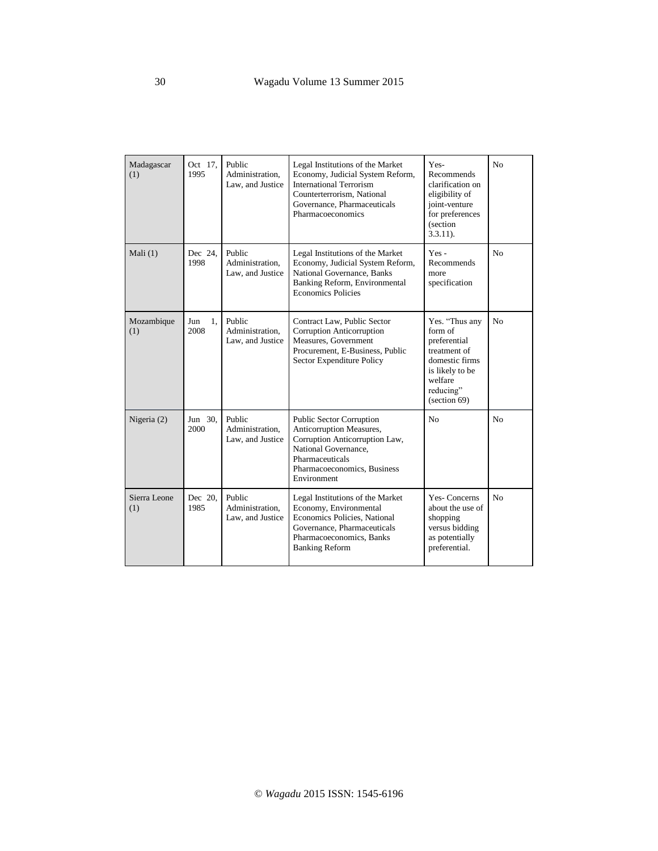| Madagascar<br>(1)   | Oct 17,<br>1995   | Public<br>Administration,<br>Law, and Justice | Legal Institutions of the Market<br>Economy, Judicial System Reform,<br><b>International Terrorism</b><br>Counterterrorism, National<br>Governance, Pharmaceuticals<br>Pharmacoeconomics | Yes-<br>Recommends<br>clarification on<br>eligibility of<br>joint-venture<br>for preferences<br>(section<br>$3.3.11$ ).                | No             |
|---------------------|-------------------|-----------------------------------------------|------------------------------------------------------------------------------------------------------------------------------------------------------------------------------------------|----------------------------------------------------------------------------------------------------------------------------------------|----------------|
| Mali $(1)$          | Dec 24.<br>1998   | Public<br>Administration,<br>Law, and Justice | Legal Institutions of the Market<br>Economy, Judicial System Reform,<br>National Governance, Banks<br>Banking Reform, Environmental<br><b>Economics Policies</b>                         | Yes-<br>Recommends<br>more<br>specification                                                                                            | No             |
| Mozambique<br>(1)   | Jun<br>1.<br>2008 | Public<br>Administration,<br>Law, and Justice | Contract Law, Public Sector<br>Corruption Anticorruption<br>Measures, Government<br>Procurement, E-Business, Public<br>Sector Expenditure Policy                                         | Yes. "Thus any<br>form of<br>preferential<br>treatment of<br>domestic firms<br>is likely to be<br>welfare<br>reducing"<br>(section 69) | No             |
| Nigeria (2)         | Jun 30.<br>2000   | Public<br>Administration,<br>Law, and Justice | <b>Public Sector Corruption</b><br>Anticorruption Measures,<br>Corruption Anticorruption Law,<br>National Governance,<br>Pharmaceuticals<br>Pharmacoeconomics, Business<br>Environment   | N <sub>0</sub>                                                                                                                         | N <sub>0</sub> |
| Sierra Leone<br>(1) | Dec 20,<br>1985   | Public<br>Administration.<br>Law, and Justice | Legal Institutions of the Market<br>Economy, Environmental<br>Economics Policies, National<br>Governance, Pharmaceuticals<br>Pharmacoeconomics, Banks<br><b>Banking Reform</b>           | <b>Yes-Concerns</b><br>about the use of<br>shopping<br>versus bidding<br>as potentially<br>preferential.                               | No             |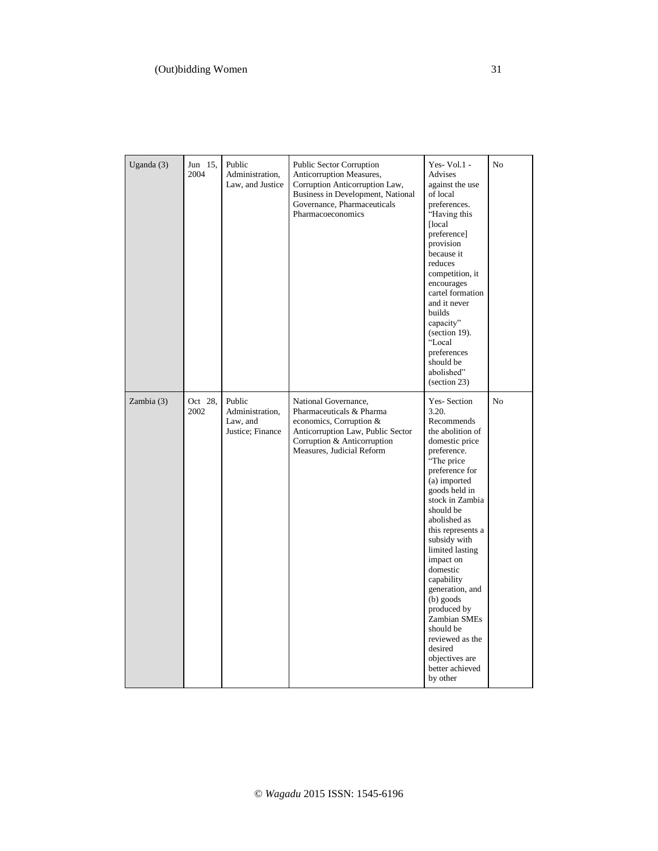| Uganda (3) | Jun 15,<br>2004 | Public<br>Administration,<br>Law, and Justice             | Public Sector Corruption<br>Anticorruption Measures,<br>Corruption Anticorruption Law,<br>Business in Development, National<br>Governance, Pharmaceuticals<br>Pharmacoeconomics | Yes-Vol.1 -<br>Advises<br>against the use<br>of local<br>preferences.<br>"Having this<br>[local]<br>preference]<br>provision<br>because it<br>reduces<br>competition, it<br>encourages<br>cartel formation<br>and it never<br>builds<br>capacity"<br>(section 19).<br>"Local<br>preferences<br>should be<br>abolished"<br>$\left( \text{section } 23 \right)$                                                                                                                | N <sub>o</sub> |
|------------|-----------------|-----------------------------------------------------------|---------------------------------------------------------------------------------------------------------------------------------------------------------------------------------|------------------------------------------------------------------------------------------------------------------------------------------------------------------------------------------------------------------------------------------------------------------------------------------------------------------------------------------------------------------------------------------------------------------------------------------------------------------------------|----------------|
| Zambia (3) | Oct 28.<br>2002 | Public<br>Administration,<br>Law, and<br>Justice; Finance | National Governance,<br>Pharmaceuticals & Pharma<br>economics, Corruption &<br>Anticorruption Law, Public Sector<br>Corruption & Anticorruption<br>Measures, Judicial Reform    | Yes-Section<br>3.20.<br>Recommends<br>the abolition of<br>domestic price<br>preference.<br>"The price"<br>preference for<br>(a) imported<br>goods held in<br>stock in Zambia<br>should be<br>abolished as<br>this represents a<br>subsidy with<br>limited lasting<br>impact on<br>domestic<br>capability<br>generation, and<br>$(b)$ goods<br>produced by<br><b>Zambian SMEs</b><br>should be<br>reviewed as the<br>desired<br>objectives are<br>better achieved<br>by other | N <sub>o</sub> |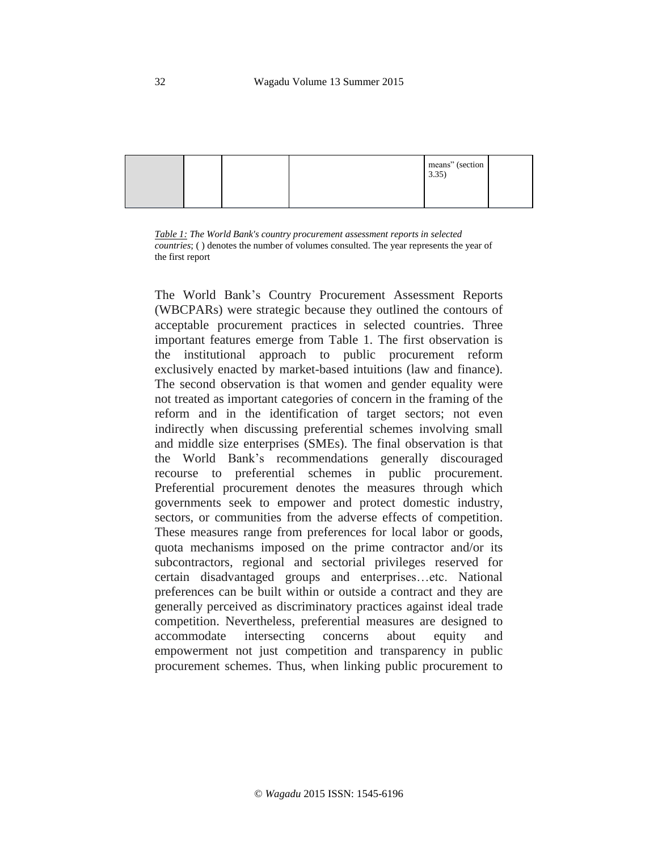

*Table 1: The World Bank's country procurement assessment reports in selected countries*; ( ) denotes the number of volumes consulted. The year represents the year of the first report

The World Bank's Country Procurement Assessment Reports (WBCPARs) were strategic because they outlined the contours of acceptable procurement practices in selected countries. Three important features emerge from Table 1. The first observation is the institutional approach to public procurement reform exclusively enacted by market-based intuitions (law and finance). The second observation is that women and gender equality were not treated as important categories of concern in the framing of the reform and in the identification of target sectors; not even indirectly when discussing preferential schemes involving small and middle size enterprises (SMEs). The final observation is that the World Bank's recommendations generally discouraged recourse to preferential schemes in public procurement. Preferential procurement denotes the measures through which governments seek to empower and protect domestic industry, sectors, or communities from the adverse effects of competition. These measures range from preferences for local labor or goods, quota mechanisms imposed on the prime contractor and/or its subcontractors, regional and sectorial privileges reserved for certain disadvantaged groups and enterprises…etc. National preferences can be built within or outside a contract and they are generally perceived as discriminatory practices against ideal trade competition. Nevertheless, preferential measures are designed to accommodate intersecting concerns about equity and empowerment not just competition and transparency in public procurement schemes. Thus, when linking public procurement to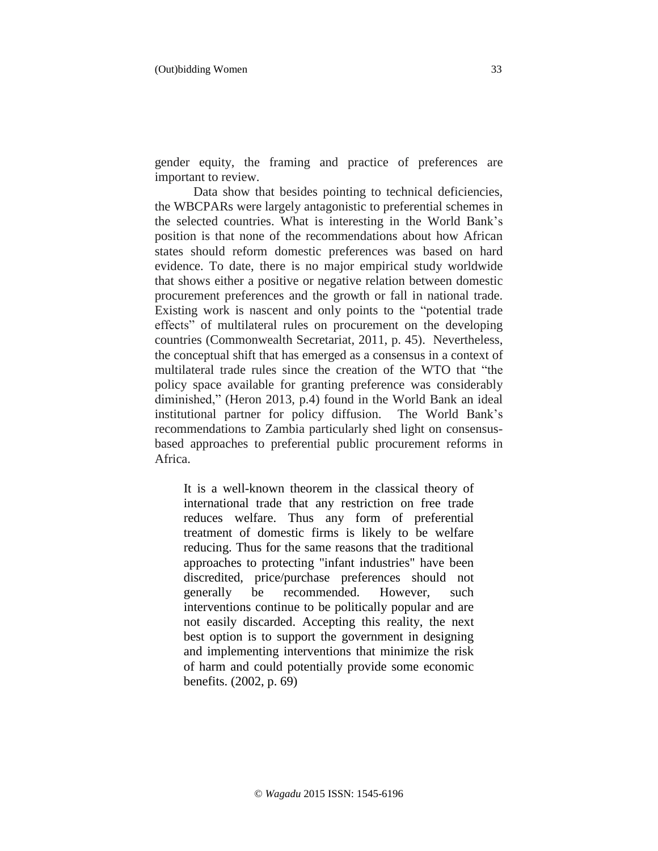gender equity, the framing and practice of preferences are important to review.

Data show that besides pointing to technical deficiencies, the WBCPARs were largely antagonistic to preferential schemes in the selected countries. What is interesting in the World Bank's position is that none of the recommendations about how African states should reform domestic preferences was based on hard evidence. To date, there is no major empirical study worldwide that shows either a positive or negative relation between domestic procurement preferences and the growth or fall in national trade. Existing work is nascent and only points to the "potential trade effects" of multilateral rules on procurement on the developing countries (Commonwealth Secretariat, 2011, p. 45). Nevertheless, the conceptual shift that has emerged as a consensus in a context of multilateral trade rules since the creation of the WTO that "the policy space available for granting preference was considerably diminished," (Heron 2013, p.4) found in the World Bank an ideal institutional partner for policy diffusion. The World Bank's recommendations to Zambia particularly shed light on consensusbased approaches to preferential public procurement reforms in Africa.

It is a well-known theorem in the classical theory of international trade that any restriction on free trade reduces welfare. Thus any form of preferential treatment of domestic firms is likely to be welfare reducing. Thus for the same reasons that the traditional approaches to protecting "infant industries" have been discredited, price/purchase preferences should not generally be recommended. However, such interventions continue to be politically popular and are not easily discarded. Accepting this reality, the next best option is to support the government in designing and implementing interventions that minimize the risk of harm and could potentially provide some economic benefits. (2002, p. 69)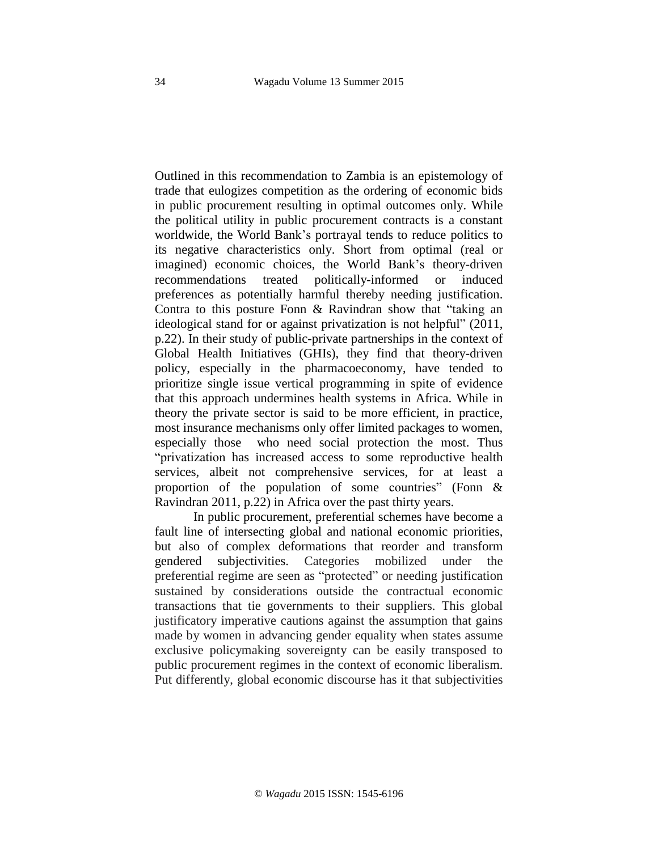Outlined in this recommendation to Zambia is an epistemology of trade that eulogizes competition as the ordering of economic bids in public procurement resulting in optimal outcomes only. While the political utility in public procurement contracts is a constant worldwide, the World Bank's portrayal tends to reduce politics to its negative characteristics only. Short from optimal (real or imagined) economic choices, the World Bank's theory-driven recommendations treated politically-informed or induced preferences as potentially harmful thereby needing justification. Contra to this posture Fonn & Ravindran show that "taking an ideological stand for or against privatization is not helpful" (2011, p.22). In their study of public-private partnerships in the context of Global Health Initiatives (GHIs), they find that theory-driven policy, especially in the pharmacoeconomy, have tended to prioritize single issue vertical programming in spite of evidence that this approach undermines health systems in Africa. While in theory the private sector is said to be more efficient, in practice, most insurance mechanisms only offer limited packages to women, especially those who need social protection the most. Thus "privatization has increased access to some reproductive health services, albeit not comprehensive services, for at least a proportion of the population of some countries" (Fonn & Ravindran 2011, p.22) in Africa over the past thirty years.

In public procurement, preferential schemes have become a fault line of intersecting global and national economic priorities, but also of complex deformations that reorder and transform gendered subjectivities. Categories mobilized under the preferential regime are seen as "protected" or needing justification sustained by considerations outside the contractual economic transactions that tie governments to their suppliers. This global justificatory imperative cautions against the assumption that gains made by women in advancing gender equality when states assume exclusive policymaking sovereignty can be easily transposed to public procurement regimes in the context of economic liberalism. Put differently, global economic discourse has it that subjectivities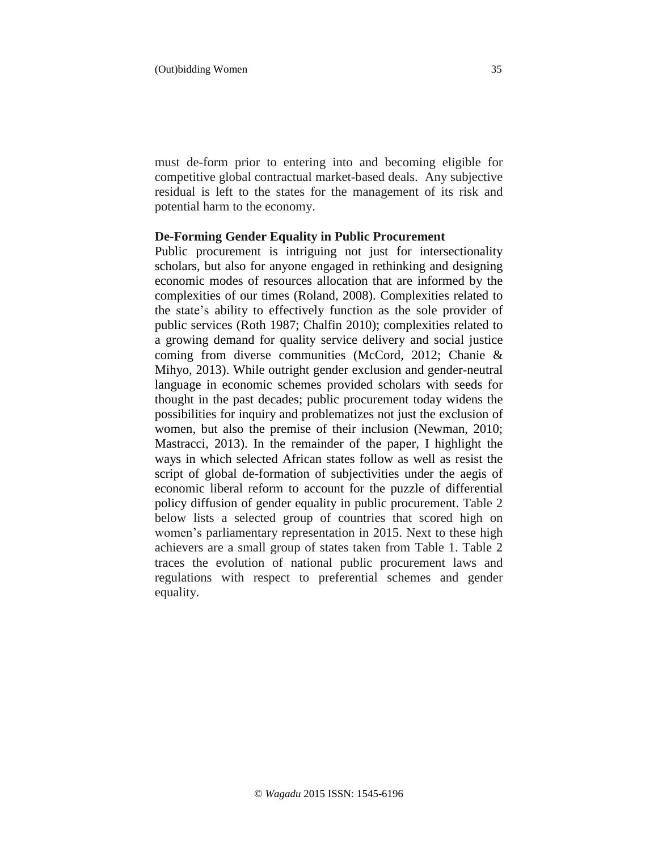must de-form prior to entering into and becoming eligible for competitive global contractual market-based deals. Any subjective residual is left to the states for the management of its risk and potential harm to the economy.

#### **De-Forming Gender Equality in Public Procurement**

Public procurement is intriguing not just for intersectionality scholars, but also for anyone engaged in rethinking and designing economic modes of resources allocation that are informed by the complexities of our times (Roland, 2008). Complexities related to the state's ability to effectively function as the sole provider of public services (Roth 1987; Chalfin 2010); complexities related to a growing demand for quality service delivery and social justice coming from diverse communities (McCord, 2012; Chanie & Mihyo, 2013). While outright gender exclusion and gender-neutral language in economic schemes provided scholars with seeds for thought in the past decades; public procurement today widens the possibilities for inquiry and problematizes not just the exclusion of women, but also the premise of their inclusion (Newman, 2010; Mastracci, 2013). In the remainder of the paper, I highlight the ways in which selected African states follow as well as resist the script of global de-formation of subjectivities under the aegis of economic liberal reform to account for the puzzle of differential policy diffusion of gender equality in public procurement. Table 2 below lists a selected group of countries that scored high on women's parliamentary representation in 2015. Next to these high achievers are a small group of states taken from Table 1. Table 2 traces the evolution of national public procurement laws and regulations with respect to preferential schemes and gender equality.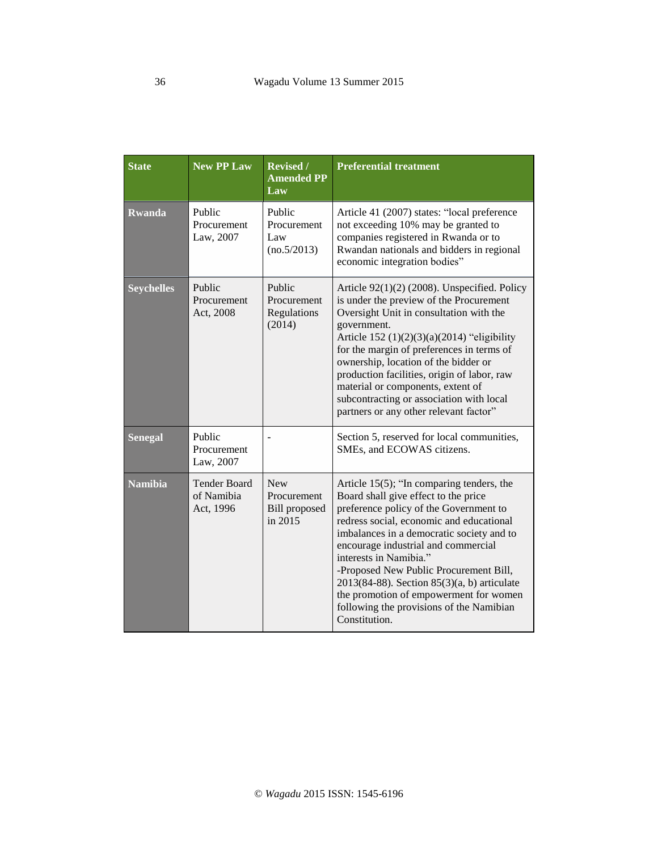| <b>State</b>      | <b>New PP Law</b>                              | Revised /<br><b>Amended PP</b><br>Law                                 | <b>Preferential treatment</b>                                                                                                                                                                                                                                                                                                                                                                                                                                                                 |
|-------------------|------------------------------------------------|-----------------------------------------------------------------------|-----------------------------------------------------------------------------------------------------------------------------------------------------------------------------------------------------------------------------------------------------------------------------------------------------------------------------------------------------------------------------------------------------------------------------------------------------------------------------------------------|
| <b>Rwanda</b>     | Public<br>Procurement<br>Law, 2007             | Public<br>Procurement<br>Law<br>(no.5/2013)                           | Article 41 (2007) states: "local preference<br>not exceeding 10% may be granted to<br>companies registered in Rwanda or to<br>Rwandan nationals and bidders in regional<br>economic integration bodies"                                                                                                                                                                                                                                                                                       |
| <b>Seychelles</b> | Public<br>Procurement<br>Act, 2008             | Public<br>Procurement<br>Regulations<br>(2014)                        | Article $92(1)(2)$ (2008). Unspecified. Policy<br>is under the preview of the Procurement<br>Oversight Unit in consultation with the<br>government.<br>Article 152 $(1)(2)(3)(a)(2014)$ "eligibility"<br>for the margin of preferences in terms of<br>ownership, location of the bidder or<br>production facilities, origin of labor, raw<br>material or components, extent of<br>subcontracting or association with local<br>partners or any other relevant factor"                          |
| <b>Senegal</b>    | Public<br>Procurement<br>Law, 2007             |                                                                       | Section 5, reserved for local communities,<br>SMEs, and ECOWAS citizens.                                                                                                                                                                                                                                                                                                                                                                                                                      |
| <b>Namibia</b>    | <b>Tender Board</b><br>of Namibia<br>Act, 1996 | <b>New</b><br><b>Procurement</b><br><b>Bill</b> proposed<br>in $2015$ | Article $15(5)$ ; "In comparing tenders, the<br>Board shall give effect to the price<br>preference policy of the Government to<br>redress social, economic and educational<br>imbalances in a democratic society and to<br>encourage industrial and commercial<br>interests in Namibia."<br>-Proposed New Public Procurement Bill,<br>$2013(84-88)$ . Section $85(3)(a, b)$ articulate<br>the promotion of empowerment for women<br>following the provisions of the Namibian<br>Constitution. |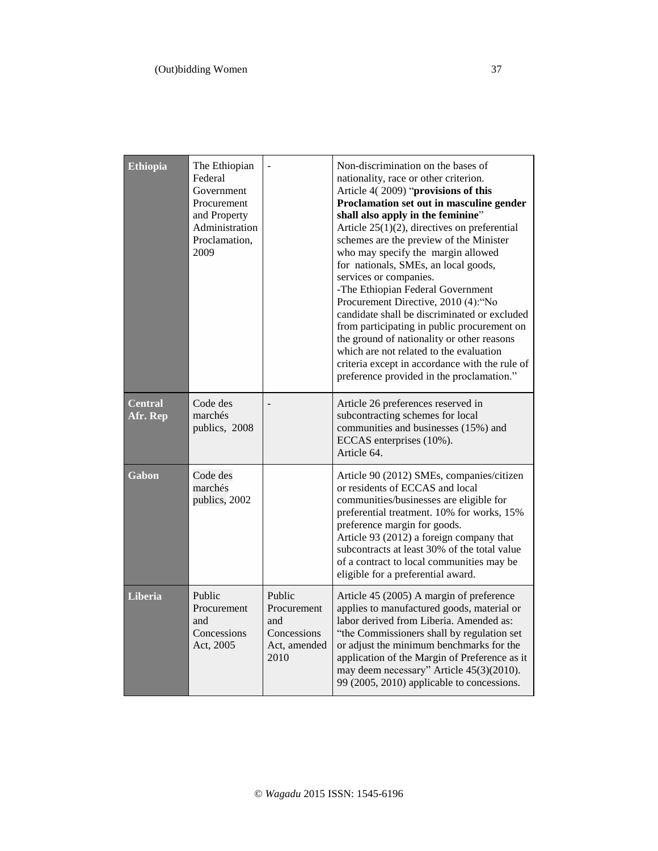| <b>Ethiopia</b>            | The Ethiopian<br>Federal<br>Government<br>Procurement<br>and Property<br>Administration<br>Proclamation,<br>2009 |                                                                     | Non-discrimination on the bases of<br>nationality, race or other criterion.<br>Article 4(2009) "provisions of this<br>Proclamation set out in masculine gender<br>shall also apply in the feminine"<br>Article $25(1)(2)$ , directives on preferential<br>schemes are the preview of the Minister<br>who may specify the margin allowed<br>for nationals, SMEs, an local goods,<br>services or companies.<br>-The Ethiopian Federal Government<br>Procurement Directive, 2010 (4): "No<br>candidate shall be discriminated or excluded<br>from participating in public procurement on<br>the ground of nationality or other reasons<br>which are not related to the evaluation<br>criteria except in accordance with the rule of<br>preference provided in the proclamation." |
|----------------------------|------------------------------------------------------------------------------------------------------------------|---------------------------------------------------------------------|-------------------------------------------------------------------------------------------------------------------------------------------------------------------------------------------------------------------------------------------------------------------------------------------------------------------------------------------------------------------------------------------------------------------------------------------------------------------------------------------------------------------------------------------------------------------------------------------------------------------------------------------------------------------------------------------------------------------------------------------------------------------------------|
| <b>Central</b><br>Afr. Rep | Code des<br>marchés<br>publics, 2008                                                                             |                                                                     | Article 26 preferences reserved in<br>subcontracting schemes for local<br>communities and businesses (15%) and<br>ECCAS enterprises (10%).<br>Article 64.                                                                                                                                                                                                                                                                                                                                                                                                                                                                                                                                                                                                                     |
| Gabon                      | Code des<br>marchés<br>publics, 2002                                                                             |                                                                     | Article 90 (2012) SMEs, companies/citizen<br>or residents of ECCAS and local<br>communities/businesses are eligible for<br>preferential treatment. 10% for works, 15%<br>preference margin for goods.<br>Article 93 (2012) a foreign company that<br>subcontracts at least 30% of the total value<br>of a contract to local communities may be<br>eligible for a preferential award.                                                                                                                                                                                                                                                                                                                                                                                          |
| <b>Liberia</b>             | Public<br>Procurement<br>and<br>Concessions<br>Act, 2005                                                         | Public<br>Procurement<br>and<br>Concessions<br>Act, amended<br>2010 | Article 45 (2005) A margin of preference<br>applies to manufactured goods, material or<br>labor derived from Liberia. Amended as:<br>"the Commissioners shall by regulation set<br>or adjust the minimum benchmarks for the<br>application of the Margin of Preference as it<br>may deem necessary" Article 45(3)(2010).<br>99 (2005, 2010) applicable to concessions.                                                                                                                                                                                                                                                                                                                                                                                                        |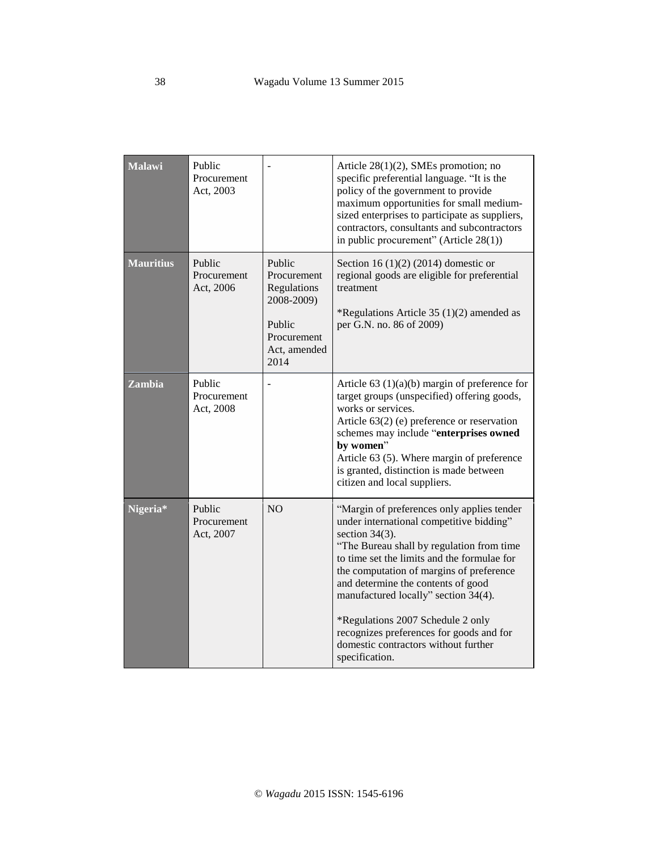| <b>Malawi</b>    | Public<br>Procurement<br>Act, 2003 |                                                                                                     | Article $28(1)(2)$ , SMEs promotion; no<br>specific preferential language. "It is the<br>policy of the government to provide<br>maximum opportunities for small medium-<br>sized enterprises to participate as suppliers,<br>contractors, consultants and subcontractors<br>in public procurement" (Article 28(1))                                                                                                                                                           |
|------------------|------------------------------------|-----------------------------------------------------------------------------------------------------|------------------------------------------------------------------------------------------------------------------------------------------------------------------------------------------------------------------------------------------------------------------------------------------------------------------------------------------------------------------------------------------------------------------------------------------------------------------------------|
| <b>Mauritius</b> | Public<br>Procurement<br>Act, 2006 | Public<br>Procurement<br>Regulations<br>2008-2009)<br>Public<br>Procurement<br>Act, amended<br>2014 | Section 16 $(1)(2)$ (2014) domestic or<br>regional goods are eligible for preferential<br>treatment<br>*Regulations Article 35 (1)(2) amended as<br>per G.N. no. 86 of 2009)                                                                                                                                                                                                                                                                                                 |
| <b>Zambia</b>    | Public<br>Procurement<br>Act, 2008 |                                                                                                     | Article 63 $(1)(a)(b)$ margin of preference for<br>target groups (unspecified) offering goods,<br>works or services.<br>Article $63(2)$ (e) preference or reservation<br>schemes may include "enterprises owned<br>by women"<br>Article 63 (5). Where margin of preference<br>is granted, distinction is made between<br>citizen and local suppliers.                                                                                                                        |
| Nigeria*         | Public<br>Procurement<br>Act, 2007 | <b>NO</b>                                                                                           | "Margin of preferences only applies tender<br>under international competitive bidding"<br>section $34(3)$ .<br>"The Bureau shall by regulation from time<br>to time set the limits and the formulae for<br>the computation of margins of preference<br>and determine the contents of good<br>manufactured locally" section 34(4).<br>*Regulations 2007 Schedule 2 only<br>recognizes preferences for goods and for<br>domestic contractors without further<br>specification. |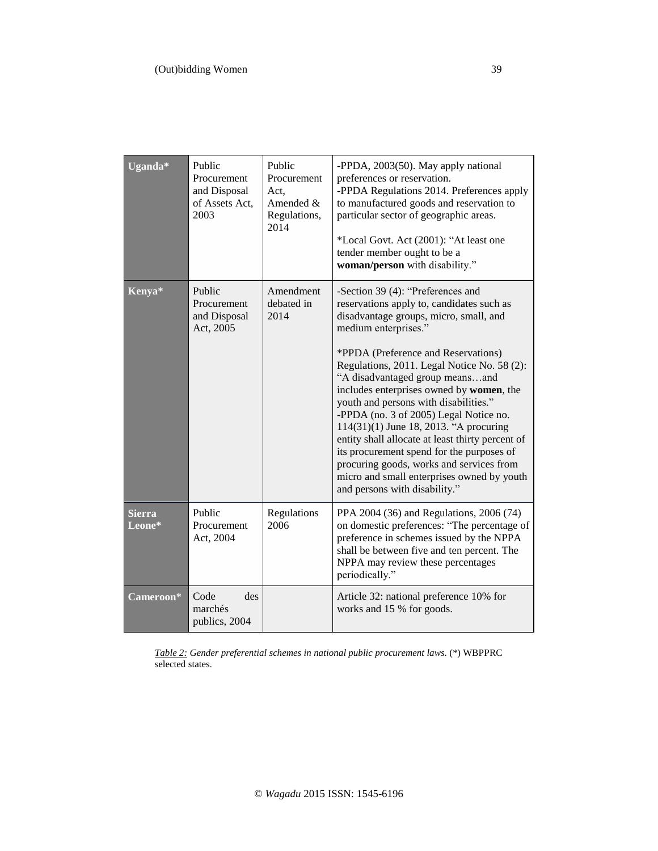| Uganda*                 | Public<br>Procurement<br>and Disposal<br>of Assets Act,<br>2003 | Public<br>Procurement<br>Act.<br>Amended &<br>Regulations,<br>2014 | -PPDA, 2003(50). May apply national<br>preferences or reservation.<br>-PPDA Regulations 2014. Preferences apply<br>to manufactured goods and reservation to<br>particular sector of geographic areas.<br>*Local Govt. Act (2001): "At least one<br>tender member ought to be a<br>woman/person with disability."                                                                                                                                                                                                                                                                                                                                                               |
|-------------------------|-----------------------------------------------------------------|--------------------------------------------------------------------|--------------------------------------------------------------------------------------------------------------------------------------------------------------------------------------------------------------------------------------------------------------------------------------------------------------------------------------------------------------------------------------------------------------------------------------------------------------------------------------------------------------------------------------------------------------------------------------------------------------------------------------------------------------------------------|
| Kenya*                  | Public<br>Procurement<br>and Disposal<br>Act, 2005              | Amendment<br>debated in<br>2014                                    | -Section 39 (4): "Preferences and<br>reservations apply to, candidates such as<br>disadvantage groups, micro, small, and<br>medium enterprises."<br>*PPDA (Preference and Reservations)<br>Regulations, 2011. Legal Notice No. 58 (2):<br>"A disadvantaged group meansand<br>includes enterprises owned by women, the<br>youth and persons with disabilities."<br>-PPDA (no. 3 of 2005) Legal Notice no.<br>114(31)(1) June 18, 2013. "A procuring<br>entity shall allocate at least thirty percent of<br>its procurement spend for the purposes of<br>procuring goods, works and services from<br>micro and small enterprises owned by youth<br>and persons with disability." |
| <b>Sierra</b><br>Leone* | Public<br>Procurement<br>Act, 2004                              | Regulations<br>2006                                                | PPA 2004 (36) and Regulations, 2006 (74)<br>on domestic preferences: "The percentage of<br>preference in schemes issued by the NPPA<br>shall be between five and ten percent. The<br>NPPA may review these percentages<br>periodically."                                                                                                                                                                                                                                                                                                                                                                                                                                       |
| Cameroon*               | Code<br>des<br>marchés<br>publics, 2004                         |                                                                    | Article 32: national preference 10% for<br>works and 15 % for goods.                                                                                                                                                                                                                                                                                                                                                                                                                                                                                                                                                                                                           |

*Table 2: Gender preferential schemes in national public procurement laws.* (\*) WBPPRC selected states.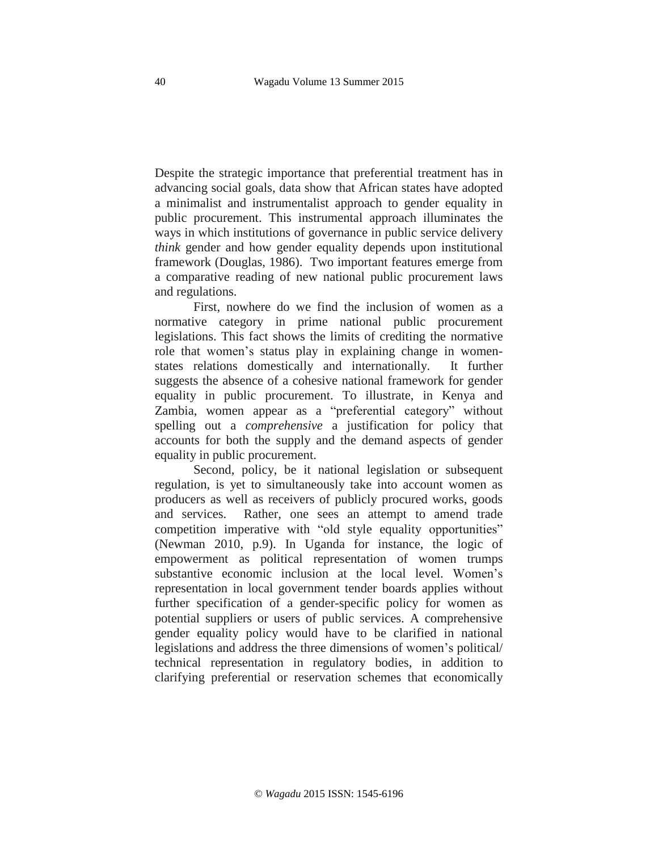Despite the strategic importance that preferential treatment has in advancing social goals, data show that African states have adopted a minimalist and instrumentalist approach to gender equality in public procurement. This instrumental approach illuminates the ways in which institutions of governance in public service delivery *think* gender and how gender equality depends upon institutional framework (Douglas, 1986). Two important features emerge from a comparative reading of new national public procurement laws and regulations.

First, nowhere do we find the inclusion of women as a normative category in prime national public procurement legislations. This fact shows the limits of crediting the normative role that women's status play in explaining change in womenstates relations domestically and internationally. It further suggests the absence of a cohesive national framework for gender equality in public procurement. To illustrate, in Kenya and Zambia, women appear as a "preferential category" without spelling out a *comprehensive* a justification for policy that accounts for both the supply and the demand aspects of gender equality in public procurement.

Second, policy, be it national legislation or subsequent regulation, is yet to simultaneously take into account women as producers as well as receivers of publicly procured works, goods and services. Rather, one sees an attempt to amend trade competition imperative with "old style equality opportunities" (Newman 2010, p.9). In Uganda for instance, the logic of empowerment as political representation of women trumps substantive economic inclusion at the local level. Women's representation in local government tender boards applies without further specification of a gender-specific policy for women as potential suppliers or users of public services. A comprehensive gender equality policy would have to be clarified in national legislations and address the three dimensions of women's political/ technical representation in regulatory bodies, in addition to clarifying preferential or reservation schemes that economically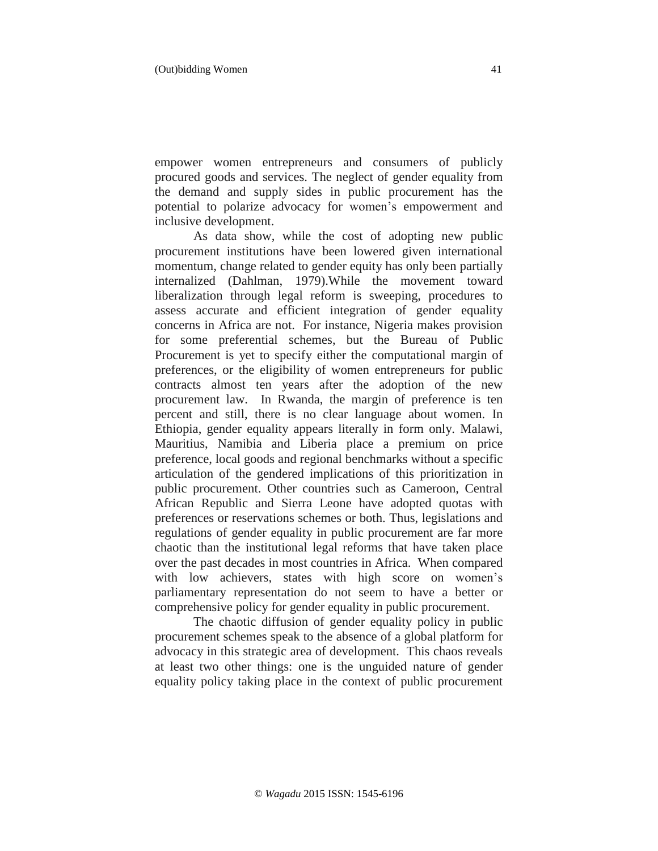empower women entrepreneurs and consumers of publicly procured goods and services. The neglect of gender equality from the demand and supply sides in public procurement has the potential to polarize advocacy for women's empowerment and inclusive development.

As data show, while the cost of adopting new public procurement institutions have been lowered given international momentum, change related to gender equity has only been partially internalized (Dahlman, 1979).While the movement toward liberalization through legal reform is sweeping, procedures to assess accurate and efficient integration of gender equality concerns in Africa are not. For instance, Nigeria makes provision for some preferential schemes, but the Bureau of Public Procurement is yet to specify either the computational margin of preferences, or the eligibility of women entrepreneurs for public contracts almost ten years after the adoption of the new procurement law. In Rwanda, the margin of preference is ten percent and still, there is no clear language about women. In Ethiopia, gender equality appears literally in form only. Malawi, Mauritius, Namibia and Liberia place a premium on price preference, local goods and regional benchmarks without a specific articulation of the gendered implications of this prioritization in public procurement. Other countries such as Cameroon, Central African Republic and Sierra Leone have adopted quotas with preferences or reservations schemes or both. Thus, legislations and regulations of gender equality in public procurement are far more chaotic than the institutional legal reforms that have taken place over the past decades in most countries in Africa. When compared with low achievers, states with high score on women's parliamentary representation do not seem to have a better or comprehensive policy for gender equality in public procurement.

The chaotic diffusion of gender equality policy in public procurement schemes speak to the absence of a global platform for advocacy in this strategic area of development. This chaos reveals at least two other things: one is the unguided nature of gender equality policy taking place in the context of public procurement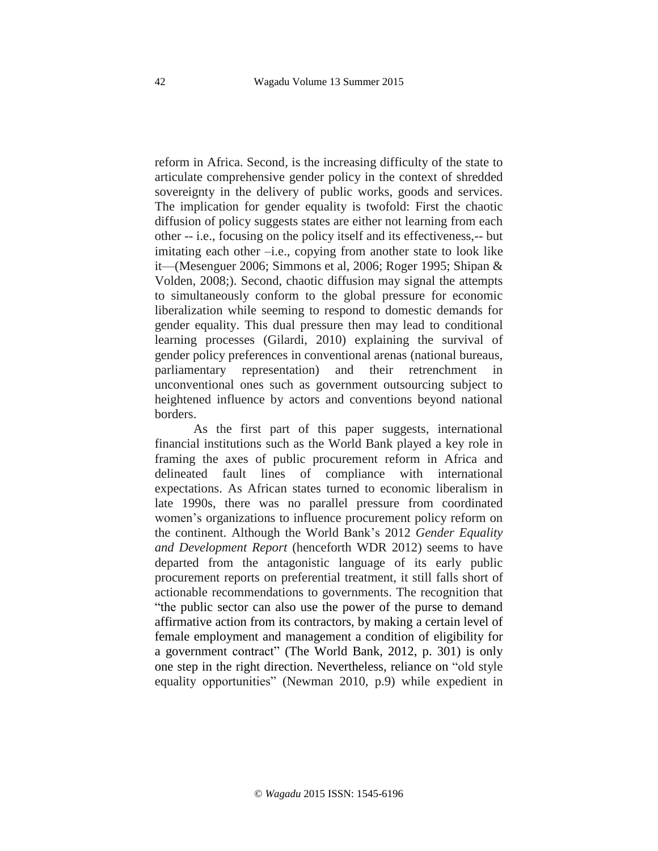reform in Africa. Second, is the increasing difficulty of the state to articulate comprehensive gender policy in the context of shredded sovereignty in the delivery of public works, goods and services. The implication for gender equality is twofold: First the chaotic diffusion of policy suggests states are either not learning from each other -- i.e., focusing on the policy itself and its effectiveness,-- but imitating each other –i.e., copying from another state to look like it—(Mesenguer 2006; Simmons et al, 2006; Roger 1995; Shipan & Volden, 2008;). Second, chaotic diffusion may signal the attempts to simultaneously conform to the global pressure for economic liberalization while seeming to respond to domestic demands for gender equality. This dual pressure then may lead to conditional learning processes (Gilardi, 2010) explaining the survival of gender policy preferences in conventional arenas (national bureaus, parliamentary representation) and their retrenchment in unconventional ones such as government outsourcing subject to heightened influence by actors and conventions beyond national borders.

As the first part of this paper suggests, international financial institutions such as the World Bank played a key role in framing the axes of public procurement reform in Africa and delineated fault lines of compliance with international expectations. As African states turned to economic liberalism in late 1990s, there was no parallel pressure from coordinated women's organizations to influence procurement policy reform on the continent. Although the World Bank's 2012 *Gender Equality and Development Report* (henceforth WDR 2012) seems to have departed from the antagonistic language of its early public procurement reports on preferential treatment, it still falls short of actionable recommendations to governments. The recognition that "the public sector can also use the power of the purse to demand affirmative action from its contractors, by making a certain level of female employment and management a condition of eligibility for a government contract" (The World Bank, 2012, p. 301) is only one step in the right direction. Nevertheless, reliance on "old style equality opportunities" (Newman 2010, p.9) while expedient in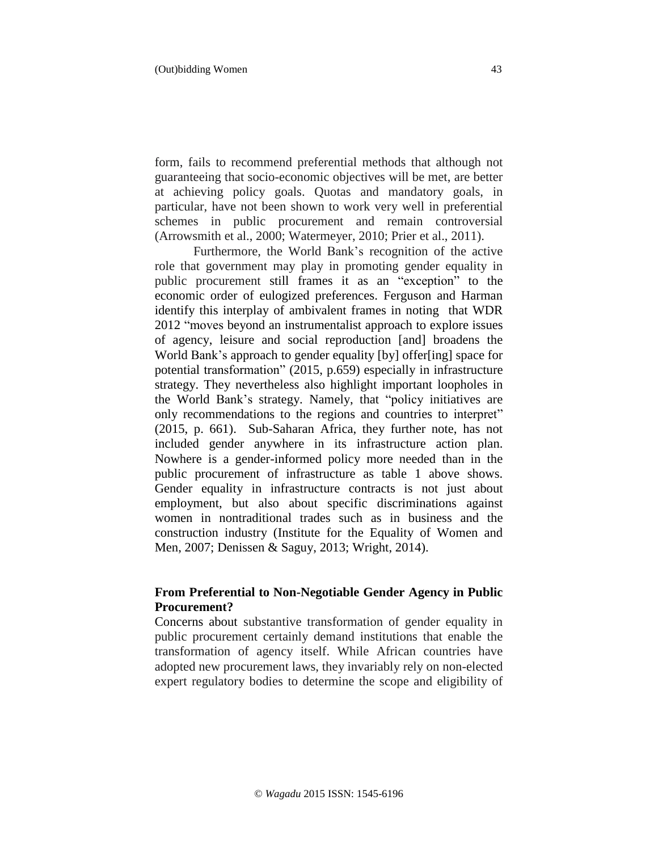form, fails to recommend preferential methods that although not guaranteeing that socio-economic objectives will be met, are better at achieving policy goals. Quotas and mandatory goals, in particular, have not been shown to work very well in preferential schemes in public procurement and remain controversial (Arrowsmith et al., 2000; Watermeyer, 2010; Prier et al., 2011).

Furthermore, the World Bank's recognition of the active role that government may play in promoting gender equality in public procurement still frames it as an "exception" to the economic order of eulogized preferences. Ferguson and Harman identify this interplay of ambivalent frames in noting that WDR 2012 "moves beyond an instrumentalist approach to explore issues of agency, leisure and social reproduction [and] broadens the World Bank's approach to gender equality [by] offer[ing] space for potential transformation" (2015, p.659) especially in infrastructure strategy. They nevertheless also highlight important loopholes in the World Bank's strategy. Namely, that "policy initiatives are only recommendations to the regions and countries to interpret" (2015, p. 661). Sub-Saharan Africa, they further note, has not included gender anywhere in its infrastructure action plan. Nowhere is a gender-informed policy more needed than in the public procurement of infrastructure as table 1 above shows. Gender equality in infrastructure contracts is not just about employment, but also about specific discriminations against women in nontraditional trades such as in business and the construction industry (Institute for the Equality of Women and Men, 2007; Denissen & Saguy, 2013; Wright, 2014).

## **From Preferential to Non-Negotiable Gender Agency in Public Procurement?**

Concerns about substantive transformation of gender equality in public procurement certainly demand institutions that enable the transformation of agency itself. While African countries have adopted new procurement laws, they invariably rely on non-elected expert regulatory bodies to determine the scope and eligibility of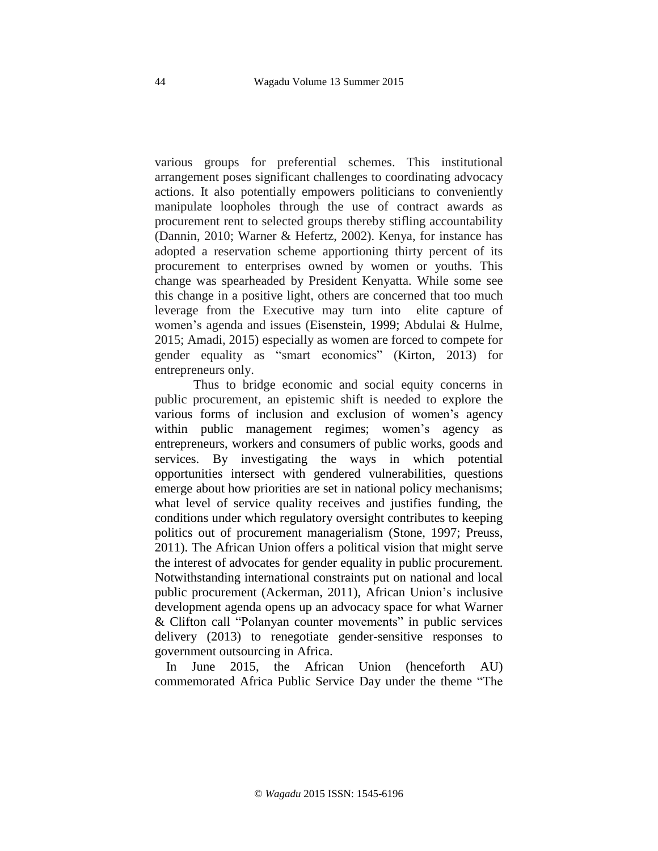various groups for preferential schemes. This institutional arrangement poses significant challenges to coordinating advocacy actions. It also potentially empowers politicians to conveniently manipulate loopholes through the use of contract awards as procurement rent to selected groups thereby stifling accountability (Dannin, 2010; Warner & Hefertz, 2002). Kenya, for instance has adopted a reservation scheme apportioning thirty percent of its procurement to enterprises owned by women or youths. This change was spearheaded by President Kenyatta. While some see this change in a positive light, others are concerned that too much leverage from the Executive may turn into elite capture of women's agenda and issues (Eisenstein, 1999; Abdulai & Hulme, 2015; Amadi, 2015) especially as women are forced to compete for gender equality as "smart economics" (Kirton, 2013) for entrepreneurs only.

Thus to bridge economic and social equity concerns in public procurement, an epistemic shift is needed to explore the various forms of inclusion and exclusion of women's agency within public management regimes; women's agency as entrepreneurs, workers and consumers of public works, goods and services. By investigating the ways in which potential opportunities intersect with gendered vulnerabilities, questions emerge about how priorities are set in national policy mechanisms; what level of service quality receives and justifies funding, the conditions under which regulatory oversight contributes to keeping politics out of procurement managerialism (Stone, 1997; Preuss, 2011). The African Union offers a political vision that might serve the interest of advocates for gender equality in public procurement. Notwithstanding international constraints put on national and local public procurement (Ackerman, 2011), African Union's inclusive development agenda opens up an advocacy space for what Warner & Clifton call "Polanyan counter movements" in public services delivery (2013) to renegotiate gender-sensitive responses to government outsourcing in Africa.

 In June 2015, the African Union (henceforth AU) commemorated Africa Public Service Day under the theme "The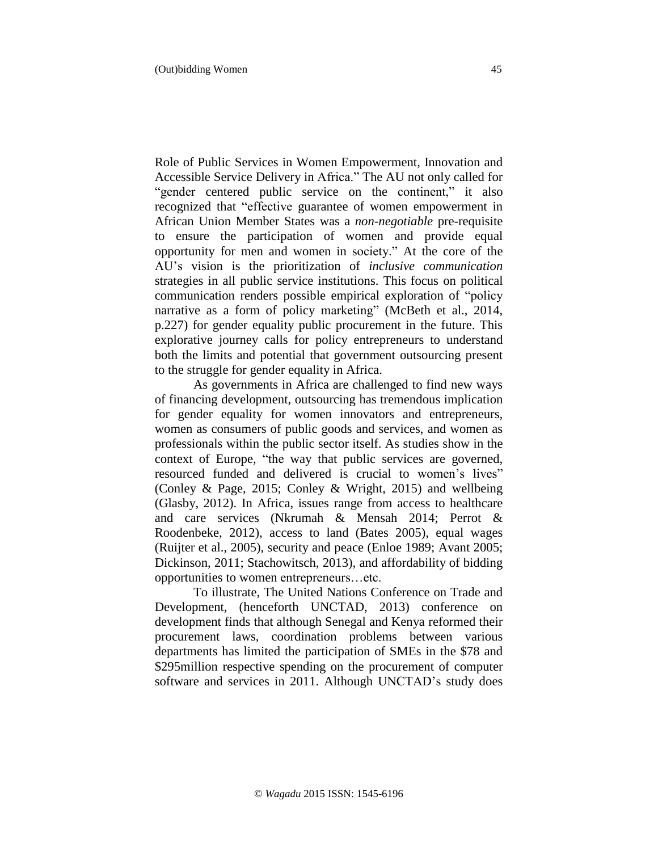Role of Public Services in Women Empowerment, Innovation and Accessible Service Delivery in Africa." The AU not only called for "gender centered public service on the continent," it also recognized that "effective guarantee of women empowerment in African Union Member States was a *non-negotiable* pre-requisite to ensure the participation of women and provide equal opportunity for men and women in society." At the core of the AU's vision is the prioritization of *inclusive communication* strategies in all public service institutions. This focus on political communication renders possible empirical exploration of "policy narrative as a form of policy marketing" (McBeth et al., 2014, p.227) for gender equality public procurement in the future. This explorative journey calls for policy entrepreneurs to understand both the limits and potential that government outsourcing present to the struggle for gender equality in Africa.

 As governments in Africa are challenged to find new ways of financing development, outsourcing has tremendous implication for gender equality for women innovators and entrepreneurs, women as consumers of public goods and services, and women as professionals within the public sector itself. As studies show in the context of Europe, "the way that public services are governed, resourced funded and delivered is crucial to women's lives" (Conley & Page, 2015; Conley & Wright, 2015) and wellbeing (Glasby, 2012). In Africa, issues range from access to healthcare and care services (Nkrumah & Mensah 2014; Perrot & Roodenbeke, 2012), access to land (Bates 2005), equal wages (Ruijter et al., 2005), security and peace (Enloe 1989; Avant 2005; Dickinson, 2011; Stachowitsch, 2013), and affordability of bidding opportunities to women entrepreneurs…etc.

To illustrate, The United Nations Conference on Trade and Development, (henceforth UNCTAD, 2013) conference on development finds that although Senegal and Kenya reformed their procurement laws, coordination problems between various departments has limited the participation of SMEs in the \$78 and \$295million respective spending on the procurement of computer software and services in 2011. Although UNCTAD's study does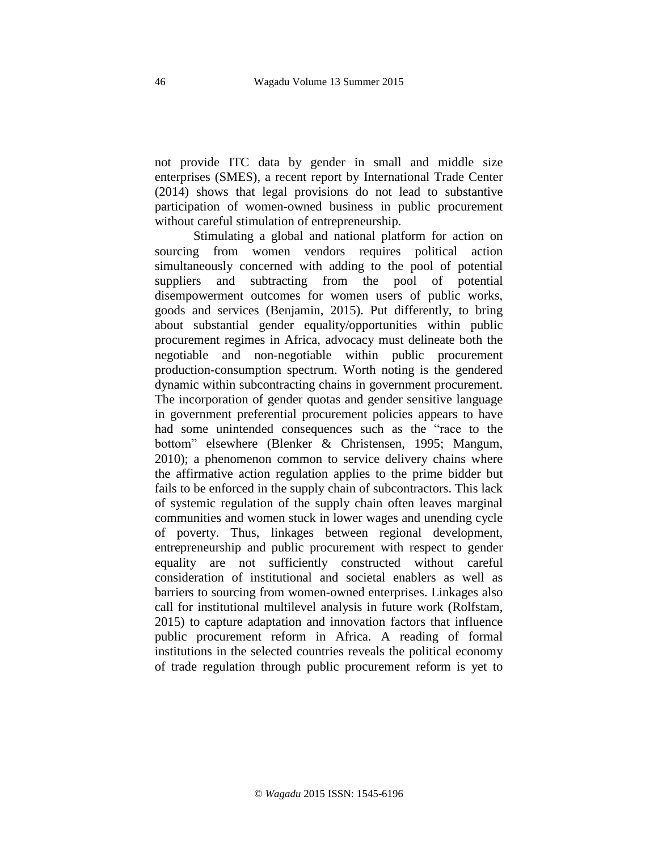not provide ITC data by gender in small and middle size enterprises (SMES), a recent report by International Trade Center (2014) shows that legal provisions do not lead to substantive participation of women-owned business in public procurement without careful stimulation of entrepreneurship.

Stimulating a global and national platform for action on sourcing from women vendors requires political action simultaneously concerned with adding to the pool of potential suppliers and subtracting from the pool of potential disempowerment outcomes for women users of public works, goods and services (Benjamin, 2015). Put differently, to bring about substantial gender equality/opportunities within public procurement regimes in Africa, advocacy must delineate both the negotiable and non-negotiable within public procurement production-consumption spectrum. Worth noting is the gendered dynamic within subcontracting chains in government procurement. The incorporation of gender quotas and gender sensitive language in government preferential procurement policies appears to have had some unintended consequences such as the "race to the bottom" elsewhere (Blenker & Christensen, 1995; Mangum, 2010); a phenomenon common to service delivery chains where the affirmative action regulation applies to the prime bidder but fails to be enforced in the supply chain of subcontractors. This lack of systemic regulation of the supply chain often leaves marginal communities and women stuck in lower wages and unending cycle of poverty. Thus, linkages between regional development, entrepreneurship and public procurement with respect to gender equality are not sufficiently constructed without careful consideration of institutional and societal enablers as well as barriers to sourcing from women-owned enterprises. Linkages also call for institutional multilevel analysis in future work (Rolfstam, 2015) to capture adaptation and innovation factors that influence public procurement reform in Africa. A reading of formal institutions in the selected countries reveals the political economy of trade regulation through public procurement reform is yet to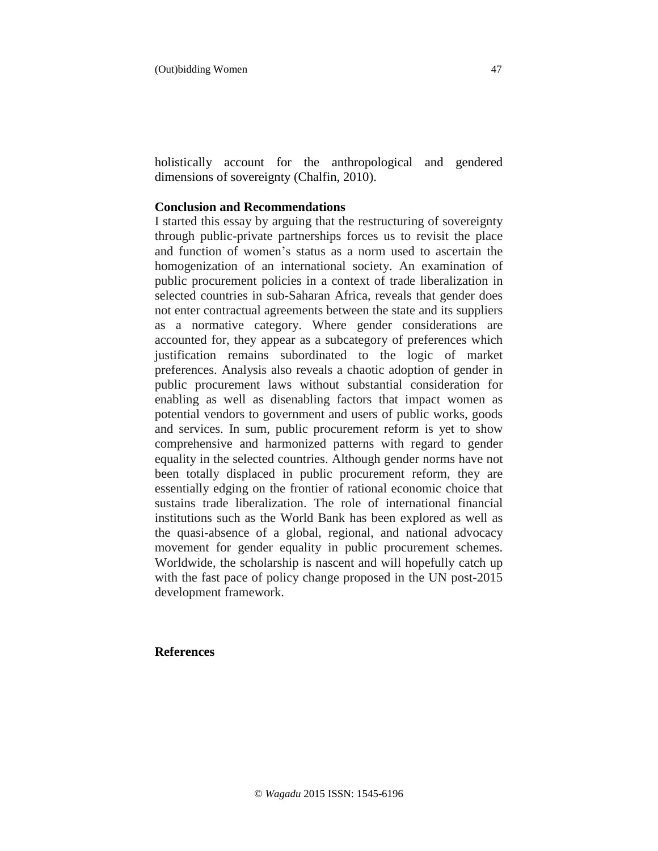holistically account for the anthropological and gendered dimensions of sovereignty (Chalfin, 2010).

#### **Conclusion and Recommendations**

I started this essay by arguing that the restructuring of sovereignty through public-private partnerships forces us to revisit the place and function of women's status as a norm used to ascertain the homogenization of an international society. An examination of public procurement policies in a context of trade liberalization in selected countries in sub-Saharan Africa, reveals that gender does not enter contractual agreements between the state and its suppliers as a normative category. Where gender considerations are accounted for, they appear as a subcategory of preferences which justification remains subordinated to the logic of market preferences. Analysis also reveals a chaotic adoption of gender in public procurement laws without substantial consideration for enabling as well as disenabling factors that impact women as potential vendors to government and users of public works, goods and services. In sum, public procurement reform is yet to show comprehensive and harmonized patterns with regard to gender equality in the selected countries. Although gender norms have not been totally displaced in public procurement reform, they are essentially edging on the frontier of rational economic choice that sustains trade liberalization. The role of international financial institutions such as the World Bank has been explored as well as the quasi-absence of a global, regional, and national advocacy movement for gender equality in public procurement schemes. Worldwide, the scholarship is nascent and will hopefully catch up with the fast pace of policy change proposed in the UN post-2015 development framework.

#### **References**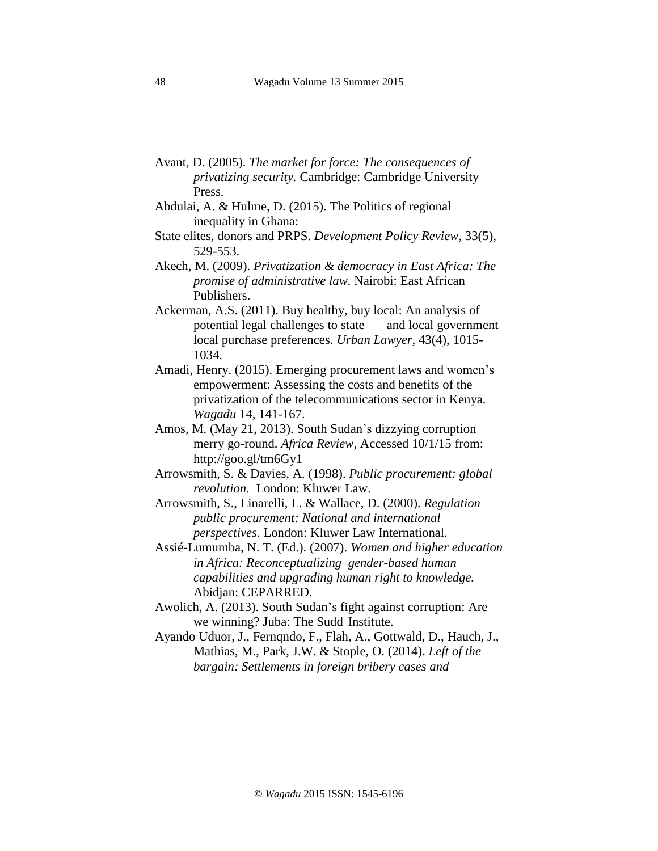- Avant, D. (2005). *The market for force: The consequences of privatizing security.* Cambridge: Cambridge University Press.
- Abdulai, A. & Hulme, D. (2015). The Politics of regional inequality in Ghana:
- State elites, donors and PRPS. *Development Policy Review,* 33(5), 529-553.
- Akech, M. (2009). *Privatization & democracy in East Africa: The promise of administrative law.* Nairobi: East African Publishers.
- Ackerman, A.S. (2011). Buy healthy, buy local: An analysis of potential legal challenges to state and local government local purchase preferences. *Urban Lawyer,* 43(4), 1015- 1034.
- Amadi, Henry. (2015). Emerging procurement laws and women's empowerment: Assessing the costs and benefits of the privatization of the telecommunications sector in Kenya. *Wagadu* 14, 141-167.
- Amos, M. (May 21, 2013). South Sudan's dizzying corruption merry go-round. *Africa Review,* Accessed 10/1/15 from: http://goo.gl/tm6Gy1
- Arrowsmith, S. & Davies, A. (1998). *Public procurement: global revolution.* London: Kluwer Law.
- Arrowsmith, S., Linarelli, L. & Wallace, D. (2000). *Regulation public procurement: National and international perspectives.* London: Kluwer Law International.
- Assié-Lumumba, N. T. (Ed.). (2007). *Women and higher education in Africa: Reconceptualizing gender-based human capabilities and upgrading human right to knowledge.* Abidjan: CEPARRED.
- Awolich, A. (2013). South Sudan's fight against corruption: Are we winning? Juba: The Sudd Institute.
- Ayando Uduor, J., Fernqndo, F., Flah, A., Gottwald, D., Hauch, J., Mathias, M., Park, J.W. & Stople, O. (2014). *Left of the bargain: Settlements in foreign bribery cases and*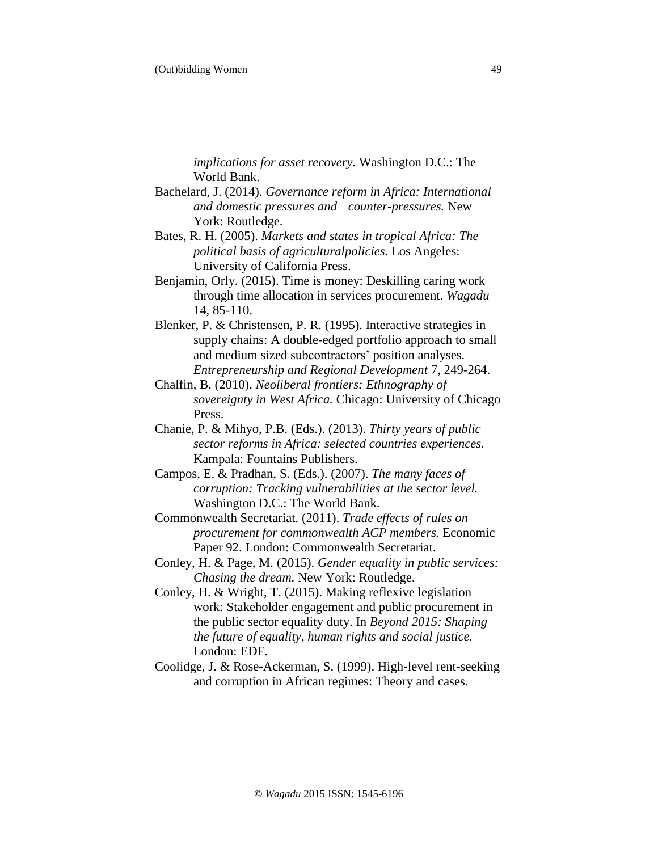*implications for asset recovery.* Washington D.C.: The World Bank.

- Bachelard, J. (2014). *Governance reform in Africa: International and domestic pressures and counter-pressures.* New York: Routledge.
- Bates, R. H. (2005). *Markets and states in tropical Africa: The political basis of agriculturalpolicies.* Los Angeles: University of California Press.
- Benjamin, Orly. (2015). Time is money: Deskilling caring work through time allocation in services procurement. *Wagadu* 14, 85-110.
- Blenker, P. & Christensen, P. R. (1995). Interactive strategies in supply chains: A double-edged portfolio approach to small and medium sized subcontractors' position analyses. *Entrepreneurship and Regional Development* 7, 249-264.
- Chalfin, B. (2010). *Neoliberal frontiers: Ethnography of sovereignty in West Africa.* Chicago: University of Chicago Press.
- Chanie, P. & Mihyo, P.B. (Eds.). (2013). *Thirty years of public sector reforms in Africa: selected countries experiences.* Kampala: Fountains Publishers.
- Campos, E. & Pradhan, S. (Eds.). (2007). *The many faces of corruption: Tracking vulnerabilities at the sector level.* Washington D.C.: The World Bank.
- Commonwealth Secretariat. (2011). *Trade effects of rules on procurement for commonwealth ACP members.* Economic Paper 92. London: Commonwealth Secretariat.
- Conley, H. & Page, M. (2015). *Gender equality in public services: Chasing the dream.* New York: Routledge.
- Conley, H. & Wright, T. (2015). Making reflexive legislation work: Stakeholder engagement and public procurement in the public sector equality duty. In *Beyond 2015: Shaping the future of equality, human rights and social justice.* London: EDF.
- Coolidge, J. & Rose-Ackerman, S. (1999). High-level rent-seeking and corruption in African regimes: Theory and cases.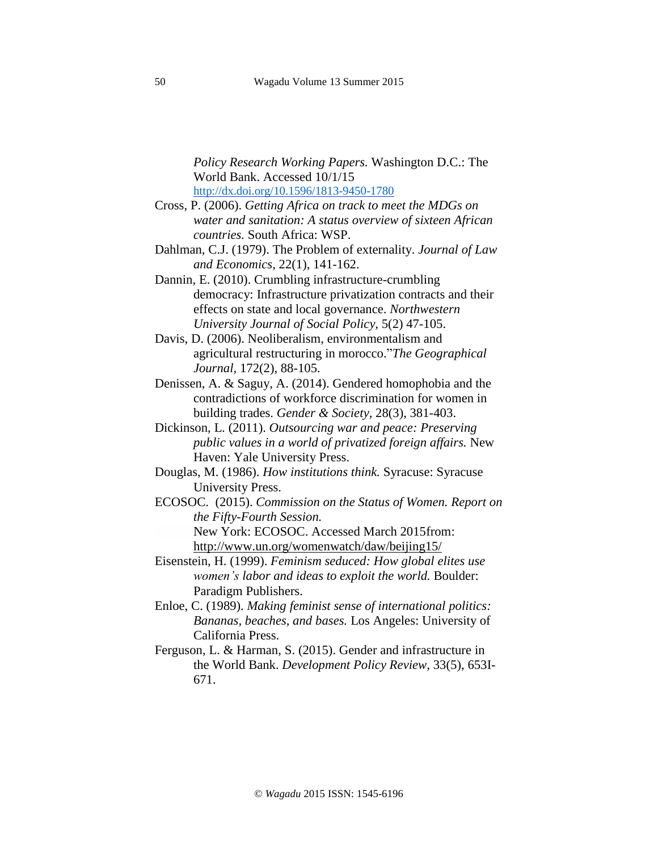*Policy Research Working Papers.* Washington D.C.: The World Bank. Accessed 10/1/15 <http://dx.doi.org/10.1596/1813-9450-1780>

- Cross, P. (2006). *Getting Africa on track to meet the MDGs on water and sanitation: A status overview of sixteen African countries.* South Africa: WSP.
- Dahlman, C.J. (1979). The Problem of externality. *Journal of Law and Economics,* 22(1), 141-162.
- Dannin, E. (2010). Crumbling infrastructure-crumbling democracy: Infrastructure privatization contracts and their effects on state and local governance. *Northwestern University Journal of Social Policy,* 5(2) 47-105.
- Davis, D. (2006). Neoliberalism, environmentalism and agricultural restructuring in morocco."*The Geographical Journal,* 172(2), 88-105.
- Denissen, A. & Saguy, A. (2014). Gendered homophobia and the contradictions of workforce discrimination for women in building trades. *Gender & Society,* 28(3), 381-403.
- Dickinson, L. (2011). *Outsourcing war and peace: Preserving public values in a world of privatized foreign affairs.* New Haven: Yale University Press.
- Douglas, M. (1986). *How institutions think.* Syracuse: Syracuse University Press.
- ECOSOC. (2015). *Commission on the Status of Women. Report on the Fifty-Fourth Session.* New York: ECOSOC. Accessed March 2015from:

http://www.un.org/womenwatch/daw/beijing15/

- Eisenstein, H. (1999). *Feminism seduced: How global elites use women's labor and ideas to exploit the world.* Boulder: Paradigm Publishers.
- Enloe, C. (1989). *Making feminist sense of international politics: Bananas, beaches, and bases.* Los Angeles: University of California Press.
- Ferguson, L. & Harman, S. (2015). Gender and infrastructure in the World Bank. *Development Policy Review,* 33(5), 653I-671.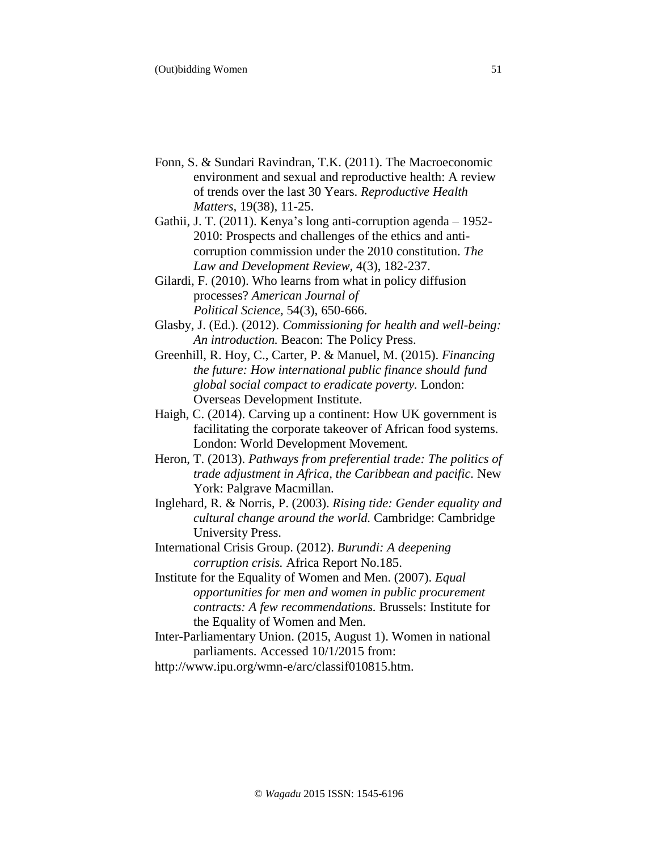- Fonn, S. & Sundari Ravindran, T.K. (2011). The Macroeconomic environment and sexual and reproductive health: A review of trends over the last 30 Years. *Reproductive Health Matters,* 19(38), 11-25.
- Gathii, J. T. (2011). Kenya's long anti-corruption agenda 1952- 2010: Prospects and challenges of the ethics and anticorruption commission under the 2010 constitution. *The Law and Development Review,* 4(3), 182-237.

Gilardi, F. (2010). Who learns from what in policy diffusion processes? *American Journal of Political Science,* 54(3), 650-666.

- Glasby, J. (Ed.). (2012). *Commissioning for health and well-being: An introduction.* Beacon: The Policy Press.
- Greenhill, R. Hoy, C., Carter, P. & Manuel, M. (2015). *Financing the future: How international public finance should fund global social compact to eradicate poverty.* London: Overseas Development Institute.
- Haigh, C. (2014). Carving up a continent: How UK government is facilitating the corporate takeover of African food systems. London: World Development Movement*.*
- Heron, T. (2013). *Pathways from preferential trade: The politics of trade adjustment in Africa, the Caribbean and pacific.* New York: Palgrave Macmillan.
- Inglehard, R. & Norris, P. (2003). *Rising tide: Gender equality and cultural change around the world.* Cambridge: Cambridge University Press.
- International Crisis Group. (2012). *Burundi: A deepening corruption crisis.* Africa Report No.185.
- Institute for the Equality of Women and Men. (2007). *Equal opportunities for men and women in public procurement contracts: A few recommendations.* Brussels: Institute for the Equality of Women and Men.
- Inter-Parliamentary Union. (2015, August 1). Women in national parliaments. Accessed 10/1/2015 from:

http://www.ipu.org/wmn-e/arc/classif010815.htm.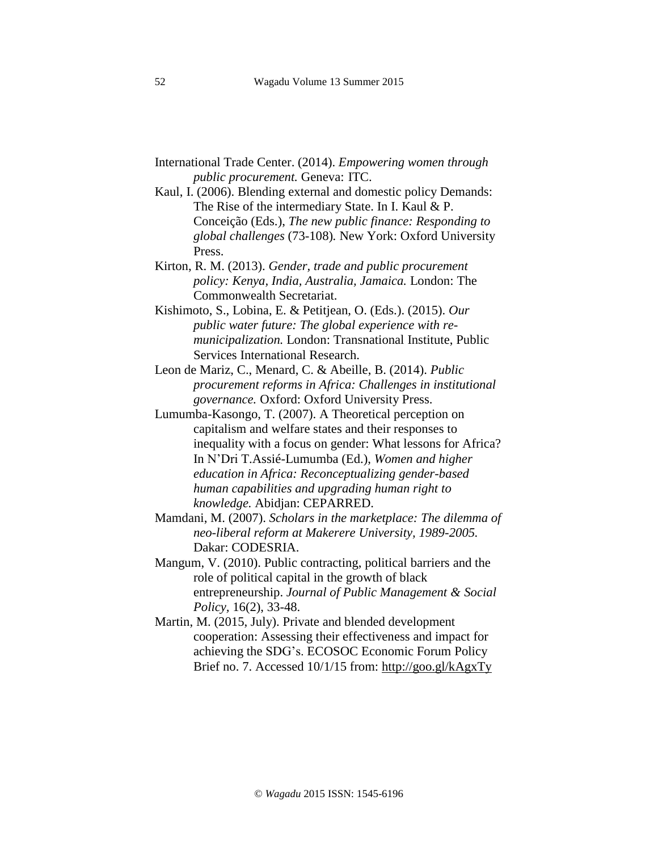- International Trade Center. (2014). *Empowering women through public procurement.* Geneva: ITC.
- Kaul, I. (2006). Blending external and domestic policy Demands: The Rise of the intermediary State. In I. Kaul & P. Conceição (Eds.), *The new public finance: Responding to global challenges* (73-108)*.* New York: Oxford University Press.
- Kirton, R. M. (2013). *Gender, trade and public procurement policy: Kenya, India, Australia, Jamaica.* London: The Commonwealth Secretariat.
- Kishimoto, S., Lobina, E. & Petitjean, O. (Eds.). (2015). *Our public water future: The global experience with remunicipalization.* London: Transnational Institute, Public Services International Research.
- Leon de Mariz, C., Menard, C. & Abeille, B. (2014). *Public procurement reforms in Africa: Challenges in institutional governance.* Oxford: Oxford University Press.
- Lumumba-Kasongo, T. (2007). A Theoretical perception on capitalism and welfare states and their responses to inequality with a focus on gender: What lessons for Africa? In N'Dri T.Assié-Lumumba (Ed.), *Women and higher education in Africa: Reconceptualizing gender-based human capabilities and upgrading human right to knowledge.* Abidjan: CEPARRED.
- Mamdani, M. (2007). *Scholars in the marketplace: The dilemma of neo-liberal reform at Makerere University, 1989-2005.* Dakar: CODESRIA.
- Mangum, V. (2010). Public contracting, political barriers and the role of political capital in the growth of black entrepreneurship. *Journal of Public Management & Social Policy,* 16(2), 33-48.
- Martin, M. (2015, July). Private and blended development cooperation: Assessing their effectiveness and impact for achieving the SDG's. ECOSOC Economic Forum Policy Brief no. 7. Accessed 10/1/15 from: http://goo.gl/kAgxTy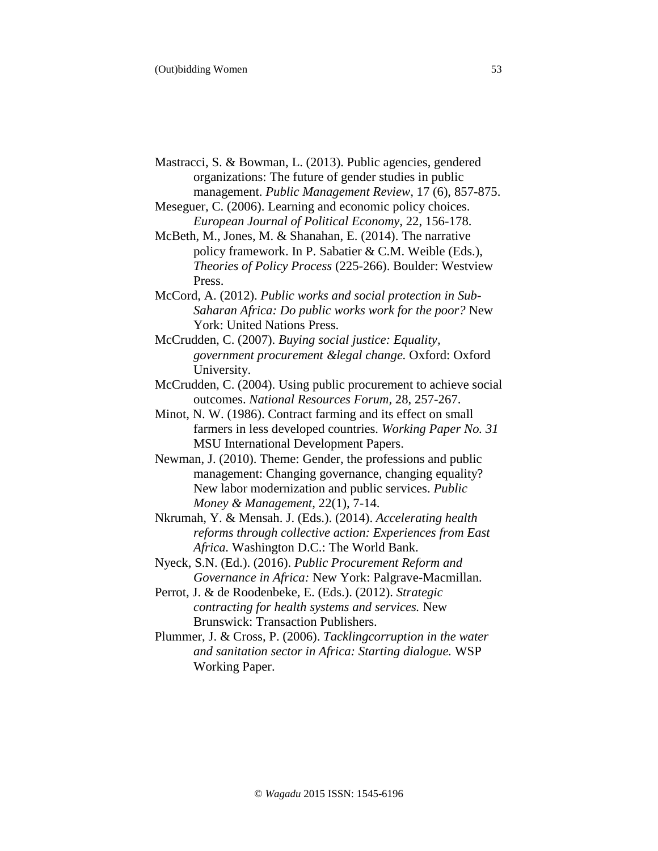- Mastracci, S. & Bowman, L. (2013). Public agencies, gendered organizations: The future of gender studies in public management. *Public Management Review,* 17 (6), 857-875.
- Meseguer, C. (2006). Learning and economic policy choices. *European Journal of Political Economy,* 22, 156-178.
- McBeth, M., Jones, M. & Shanahan, E. (2014). The narrative policy framework. In P. Sabatier & C.M. Weible (Eds.), *Theories of Policy Process* (225-266). Boulder: Westview Press.
- McCord, A. (2012). *Public works and social protection in Sub-Saharan Africa: Do public works work for the poor?* New York: United Nations Press.
- McCrudden, C. (2007). *Buying social justice: Equality, government procurement &legal change.* Oxford: Oxford University.
- McCrudden, C. (2004). Using public procurement to achieve social outcomes. *National Resources Forum,* 28, 257-267.
- Minot, N. W. (1986). Contract farming and its effect on small farmers in less developed countries. *Working Paper No. 31* MSU International Development Papers.
- Newman, J. (2010). Theme: Gender, the professions and public management: Changing governance, changing equality? New labor modernization and public services. *Public Money & Management,* 22(1), 7-14.
- Nkrumah, Y. & Mensah. J. (Eds.). (2014). *Accelerating health reforms through collective action: Experiences from East Africa.* Washington D.C.: The World Bank.
- Nyeck, S.N. (Ed.). (2016). *Public Procurement Reform and Governance in Africa:* New York: Palgrave-Macmillan.
- Perrot, J. & de Roodenbeke, E. (Eds.). (2012). *Strategic contracting for health systems and services.* New Brunswick: Transaction Publishers.
- Plummer, J. & Cross, P. (2006). *Tacklingcorruption in the water and sanitation sector in Africa: Starting dialogue.* WSP Working Paper.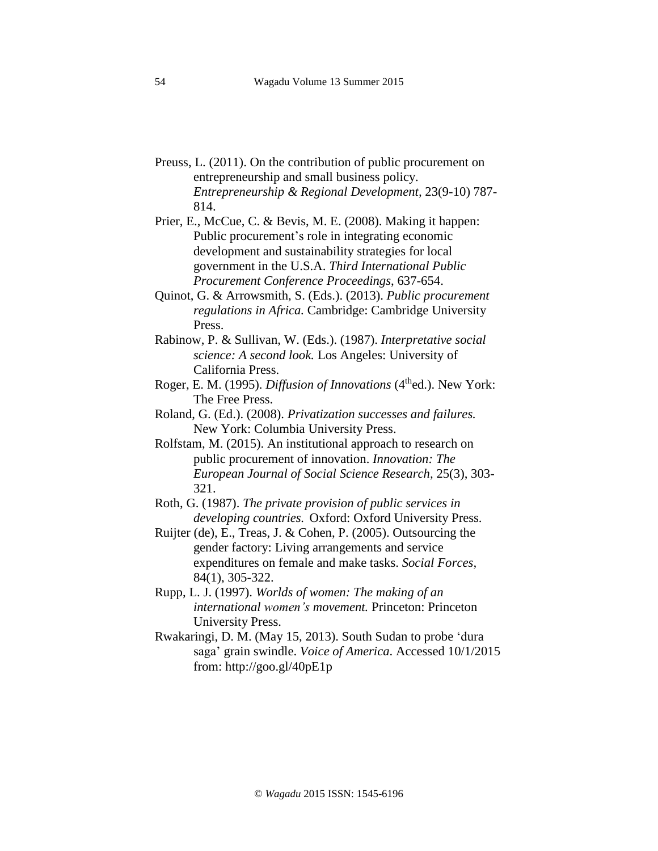- Preuss, L. (2011). On the contribution of public procurement on entrepreneurship and small business policy. *Entrepreneurship & Regional Development,* 23(9-10) 787- 814.
- Prier, E., McCue, C. & Bevis, M. E. (2008). Making it happen: Public procurement's role in integrating economic development and sustainability strategies for local government in the U.S.A. *Third International Public Procurement Conference Proceedings*, 637-654.
- Quinot, G. & Arrowsmith, S. (Eds.). (2013). *Public procurement regulations in Africa.* Cambridge: Cambridge University Press.
- Rabinow, P. & Sullivan, W. (Eds.). (1987). *Interpretative social science: A second look.* Los Angeles: University of California Press.
- Roger, E. M. (1995). *Diffusion of Innovations* (4thed.). New York: The Free Press.
- Roland, G. (Ed.). (2008). *Privatization successes and failures.* New York: Columbia University Press.
- Rolfstam, M. (2015). An institutional approach to research on public procurement of innovation. *Innovation: The European Journal of Social Science Research,* 25(3), 303- 321.
- Roth, G. (1987). *The private provision of public services in developing countries.* Oxford: Oxford University Press.
- Ruijter (de), E., Treas, J. & Cohen, P. (2005). Outsourcing the gender factory: Living arrangements and service expenditures on female and make tasks. *Social Forces,* 84(1), 305-322.
- Rupp, L. J. (1997). *Worlds of women: The making of an international women's movement.* Princeton: Princeton University Press.
- Rwakaringi, D. M. (May 15, 2013). South Sudan to probe 'dura saga' grain swindle. *Voice of America*. Accessed 10/1/2015 from: http://goo.gl/40pE1p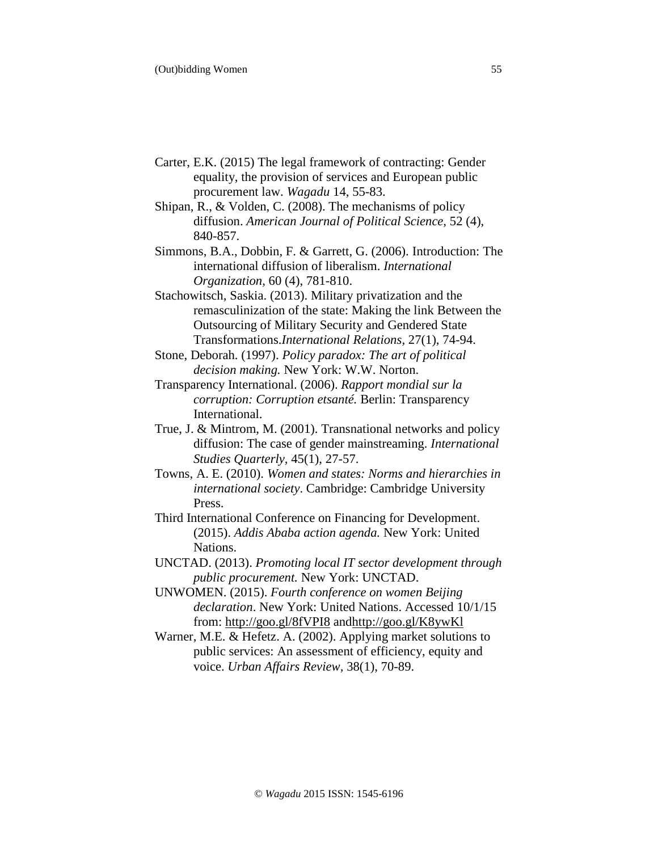- Carter, E.K. (2015) The legal framework of contracting: Gender equality, the provision of services and European public procurement law. *Wagadu* 14, 55-83.
- Shipan, R., & Volden, C. (2008). The mechanisms of policy diffusion. *American Journal of Political Science,* 52 (4), 840-857.
- Simmons, B.A., Dobbin, F. & Garrett, G. (2006). Introduction: The international diffusion of liberalism. *International Organization,* 60 (4), 781-810.
- Stachowitsch, Saskia. (2013). Military privatization and the remasculinization of the state: Making the link Between the Outsourcing of Military Security and Gendered State Transformations.*International Relations,* 27(1), 74-94.
- Stone, Deborah. (1997). *Policy paradox: The art of political decision making.* New York: W.W. Norton.
- Transparency International. (2006). *Rapport mondial sur la corruption: Corruption etsanté.* Berlin: Transparency International.
- True, J. & Mintrom, M. (2001). Transnational networks and policy diffusion: The case of gender mainstreaming. *International Studies Quarterly,* 45(1), 27-57.
- Towns, A. E. (2010). *Women and states: Norms and hierarchies in international society*. Cambridge: Cambridge University Press.
- Third International Conference on Financing for Development. (2015). *Addis Ababa action agenda.* New York: United Nations.
- UNCTAD. (2013). *Promoting local IT sector development through public procurement.* New York: UNCTAD.
- UNWOMEN. (2015). *Fourth conference on women Beijing declaration*. New York: United Nations. Accessed 10/1/15 from: http://goo.gl/8fVPI8 andhttp://goo.gl/K8ywKl
- Warner, M.E. & Hefetz. A. (2002). Applying market solutions to public services: An assessment of efficiency, equity and voice. *Urban Affairs Review,* 38(1), 70-89.